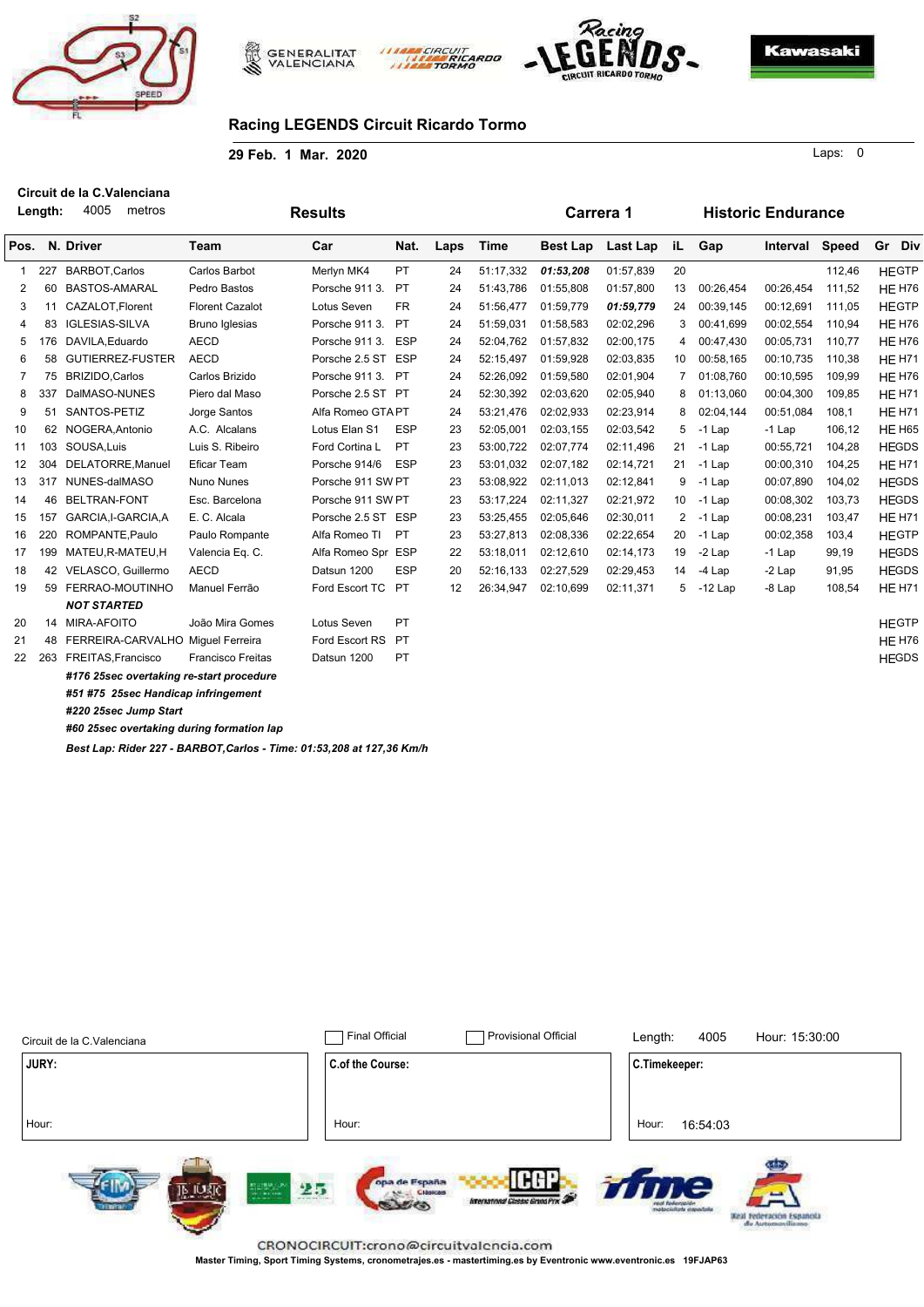





Kawasaki

### **Racing LEGENDS Circuit Ricardo Tormo**

riprill

ARDO

**29 Feb. 1 Mar. 2020**

**Carrera 1 Historic Endurance Results N. Driver Length: Team Nat.** 4005 metros Pos. N. Driver Team Car Nat. Laps Time Best Lap Last Lap iL Car **Nat.** Laps Time Best Lap Last Lap iL Gap Interval Speed Gr Div 1 227 BARBOT,Carlos Carlos Barbot Merlyn MK4 PT 24 51:17,332 *01:53,208* 01:57,839 20 112,46 HEGTP 2 60 BASTOS-AMARAL Pedro Bastos Porsche 911 3. PT 24 51:43,786 01:55,808 01:57,800 13 00:26,454 00:26,454 111,52 HE H76 3 11 CAZALOT,Florent Florent Cazalot Lotus Seven FR 24 51:56,477 01:59,779 *01:59,779* 24 00:39,145 00:12,691 111,05 HEGTP 4 83 IGLESIAS-SILVA Bruno Iglesias Porsche 911 3. PT 24 51:59,031 01:58,583 02:02,296 3 00:41,699 00:02,554 110,94 HE H76 5 176 DAVILA,Eduardo AECD Porsche 911 3. ESP 24 52:04,762 01:57,832 02:00,175 4 00:47,430 00:05,731 110,77 HE H76 6 58 GUTIERREZ-FUSTER AECD Porsche 2.5 ST ESP 24 52:15,497 01:59,928 02:03,835 10 00:58,165 00:10,735 110,38 HE H71 7 75 BRIZIDO,Carlos Carlos Brizido Porsche 911 3. PT 24 52:26,092 01:59,580 02:01,904 7 01:08,760 00:10,595 109,99 HE H76 8 337 DalMASO-NUNES Piero dal Maso Porsche 2.5 ST PT 24 52:30,392 02:03,620 02:05,940 8 01:13,060 00:04,300 109,85 HE H71 9 51 SANTOS-PETIZ Jorge Santos Alfa Romeo GTAPT 24 53:21,476 02:02,933 02:23,914 8 02:04,144 00:51,084 108,1 HE H71 10 62 NOGERA,Antonio A.C. Alcalans Lotus Elan S1 ESP 23 52:05,001 02:03,155 02:03,542 5 -1 Lap -1 Lap 106,12 HE H65 11 103 SOUSA,Luis Luis S. Ribeiro Ford Cortina L PT 23 53:00,722 02:07,774 02:11,496 21 -1 Lap 00:55,721 104,28 HEGDS 12 304 DELATORRE,Manuel Eficar Team Porsche 914/6 ESP 23 53:01,032 02:07,182 02:14,721 21 -1 Lap 00:00,310 104,25 HE H71 13 317 NUNES-dalMASO Nuno Nunes Porsche 911 SW PT 23 53:08,922 02:11,013 02:12,841 9 -1 Lap 00:07,890 104,02 HEGDS 14 46 BELTRAN-FONT Esc. Barcelona Porsche 911 SW PT 23 53:17,224 02:11,327 02:21,972 10 -1 Lap 00:08,302 103,73 HEGDS 15 157 GARCIA,I-GARCIA,A E. C. Alcala Porsche 2.5 ST ESP 23 53:25,455 02:05,646 02:30,011 2 -1 Lap 00:08,231 103,47 HE H71 16 220 ROMPANTE,Paulo Paulo Rompante Alfa Romeo TI PT 23 53:27,813 02:08,336 02:22,654 20 -1 Lap 00:02,358 103,4 HEGTP 17 199 MATEU,R-MATEU,H Valencia Eq. C. Alfa Romeo Spr ESP 22 53:18,011 02:12,610 02:14,173 19 -2 Lap -1 Lap 99,19 HEGDS 18 42 VELASCO, Guillermo AECD Datsun 1200 ESP 20 52:16,133 02:27,529 02:29,453 14 -4 Lap -2 Lap 91,95 HEGDS 19 59 FERRAO-MOUTINHO Manuel Ferrão Ford Escort TC PT 12 26:34,947 02:10,699 02:11,371 5 -12 Lap -8 Lap 108,54 HE H71 *NOT STARTED* 20 14 MIRA-AFOITO João Mira Gomes Lotus Seven PT **Annual Company and Company Article Company Article Company Article** 21 48 FERREIRA-CARVALHO Miguel Ferreira Ford Escort RS PT **Francia Excorporation Control Control Control Control** 22 263 FREITAS,Francisco Francisco Freitas Datsun 1200 PT **Material Structure Control Control Control Control Control Control Control Control Control Control Control Control Control Control Control Control Control Control** *#176 25sec overtaking re-start procedure #51 #75 25sec Handicap infringement #220 25sec Jump Start #60 25sec overtaking during formation lap*

*Best Lap: Rider 227 - BARBOT,Carlos - Time: 01:53,208 at 127,36 Km/h*

| Circuit de la C.Valenciana                          | <b>Final Official</b><br>Provisional Official                                                                      | Length:               | 4005                         | Hour: 15:30:00                                |
|-----------------------------------------------------|--------------------------------------------------------------------------------------------------------------------|-----------------------|------------------------------|-----------------------------------------------|
| <b>JURY:</b>                                        | C.of the Course:                                                                                                   | C.Timekeeper:         |                              |                                               |
|                                                     |                                                                                                                    |                       |                              |                                               |
| Hour:                                               | Hour:                                                                                                              | Hour:                 | 16:54:03                     |                                               |
| 25<br>all'er ble leta 10 cm<br>THE STATE CONTRACTOR | The product of the control of the Product<br>ILEG<br>opa de España<br>CIASICAS<br>International Classic Grand Prix | <b>Highways Islan</b> | $\equiv$<br>alchemy shrillan | $\overline{\phantom{a}}$<br>de Autonesvilisme |

**Master Timing, Sport Timing Systems, cronometrajes.es - mastertiming.es by Eventronic www.eventronic.es 19FJAP63**

 $\Omega$ Laps: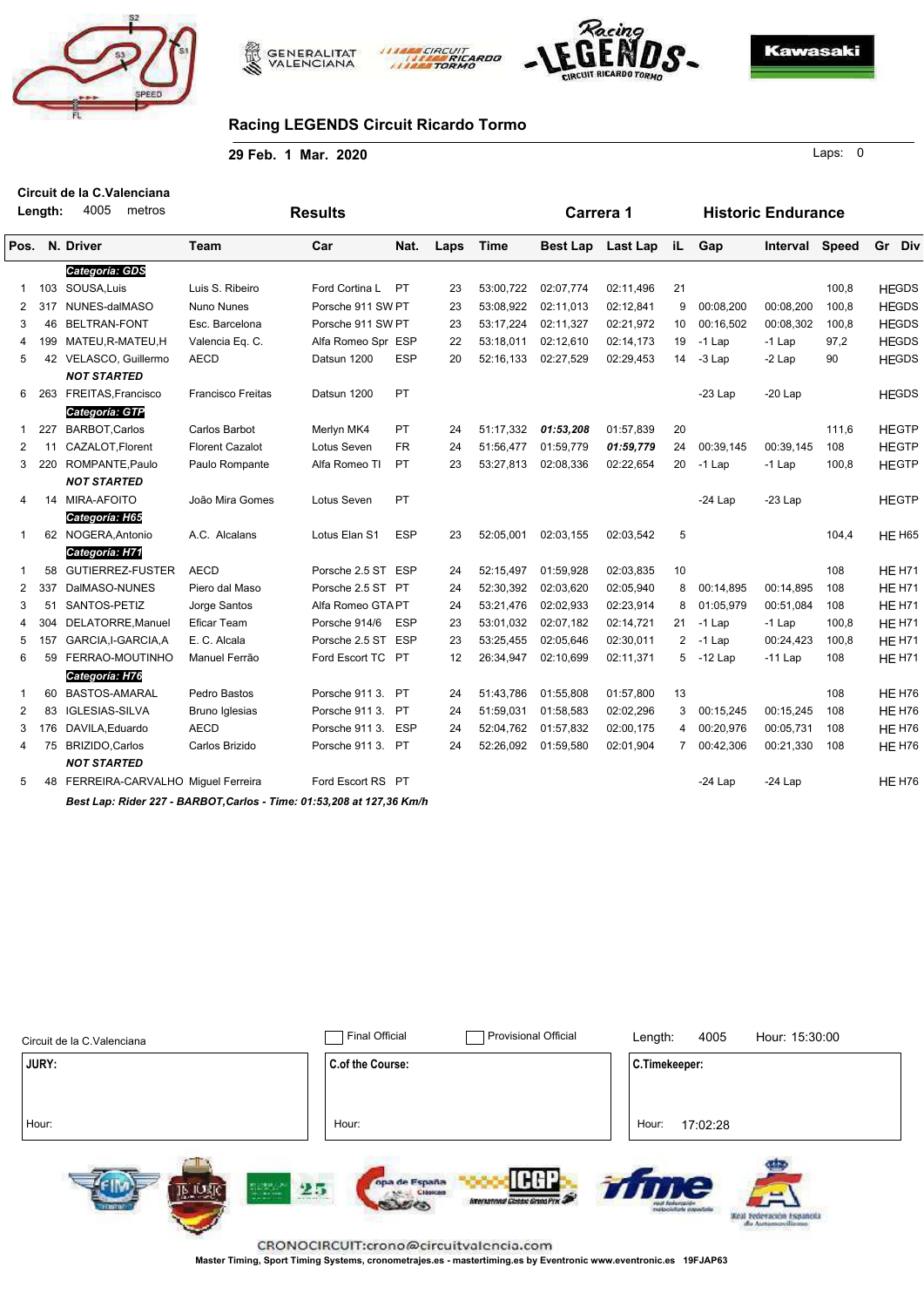





**Carrera 1 Historic Endurance**

**Kawasaki** 

# **Racing LEGENDS Circuit Ricardo Tormo**

CIRCUI

**29 Feb. 1 Mar. 2020**

**Results**

0 Laps:

**Length:** 4005 metros **Circuit de la C.Valenciana**

| Pos.           |     | N. Driver                                                             | Team                   | Car                | Nat.       | Laps              | Time      | <b>Best Lap</b> | Last Lap  | iL | Gap       | Interval  | Speed | Gr Div |               |
|----------------|-----|-----------------------------------------------------------------------|------------------------|--------------------|------------|-------------------|-----------|-----------------|-----------|----|-----------|-----------|-------|--------|---------------|
|                |     | Categoría: GDS                                                        |                        |                    |            |                   |           |                 |           |    |           |           |       |        |               |
| 1              |     | 103 SOUSA, Luis                                                       | Luis S. Ribeiro        | Ford Cortina L     | <b>PT</b>  | 23                | 53:00,722 | 02:07,774       | 02:11,496 | 21 |           |           | 100,8 |        | <b>HEGDS</b>  |
| 2              | 317 | NUNES-dalMASO                                                         | Nuno Nunes             | Porsche 911 SW PT  |            | 23                | 53:08,922 | 02:11,013       | 02:12,841 | 9  | 00:08,200 | 00:08,200 | 100,8 |        | <b>HEGDS</b>  |
| 3              | 46  | <b>BELTRAN-FONT</b>                                                   | Esc. Barcelona         | Porsche 911 SW PT  |            | 23                | 53:17,224 | 02:11,327       | 02:21,972 | 10 | 00:16,502 | 00:08,302 | 100,8 |        | <b>HEGDS</b>  |
| 4              | 199 | MATEU,R-MATEU,H                                                       | Valencia Eq. C.        | Alfa Romeo Spr ESP |            | 22                | 53:18,011 | 02:12,610       | 02:14,173 | 19 | $-1$ Lap  | $-1$ Lap  | 97,2  |        | <b>HEGDS</b>  |
| 5              |     | 42 VELASCO, Guillermo                                                 | <b>AECD</b>            | Datsun 1200        | <b>ESP</b> | 20                | 52:16,133 | 02:27,529       | 02:29,453 | 14 | $-3$ Lap  | $-2$ Lap  | 90    |        | <b>HEGDS</b>  |
|                |     | <b>NOT STARTED</b>                                                    |                        |                    |            |                   |           |                 |           |    |           |           |       |        |               |
| 6              |     | 263 FREITAS, Francisco                                                | Francisco Freitas      | Datsun 1200        | PT         |                   |           |                 |           |    | $-23$ Lap | $-20$ Lap |       |        | <b>HEGDS</b>  |
|                |     | Categoría: GTP                                                        |                        |                    |            |                   |           |                 |           |    |           |           |       |        |               |
| 1.             | 227 | <b>BARBOT, Carlos</b>                                                 | Carlos Barbot          | Merlyn MK4         | PT.        | 24                | 51:17,332 | 01:53,208       | 01:57,839 | 20 |           |           | 111,6 |        | <b>HEGTP</b>  |
| 2              | 11  | CAZALOT, Florent                                                      | <b>Florent Cazalot</b> | Lotus Seven        | <b>FR</b>  | 24                | 51:56.477 | 01:59.779       | 01:59,779 | 24 | 00:39,145 | 00:39.145 | 108   |        | <b>HEGTP</b>  |
| 3              |     | 220 ROMPANTE, Paulo                                                   | Paulo Rompante         | Alfa Romeo TI      | PT.        | 23                | 53:27,813 | 02:08,336       | 02:22,654 | 20 | $-1$ Lap  | $-1$ Lap  | 100,8 |        | <b>HEGTP</b>  |
|                |     | <b>NOT STARTED</b>                                                    |                        |                    |            |                   |           |                 |           |    |           |           |       |        |               |
| 4              |     | 14 MIRA-AFOITO                                                        | João Mira Gomes        | Lotus Seven        | PT         |                   |           |                 |           |    | $-24$ Lap | $-23$ Lap |       |        | <b>HEGTP</b>  |
|                |     | Categoría: H65                                                        |                        |                    |            |                   |           |                 |           |    |           |           |       |        |               |
| 1              |     | 62 NOGERA, Antonio                                                    | A.C. Alcalans          | Lotus Elan S1      | <b>ESP</b> | 23                | 52:05,001 | 02:03,155       | 02:03,542 | 5  |           |           | 104,4 |        | <b>HE H65</b> |
|                |     | Categoría: H71                                                        |                        |                    |            |                   |           |                 |           |    |           |           |       |        |               |
|                | 58  | <b>GUTIERREZ-FUSTER</b>                                               | <b>AECD</b>            | Porsche 2.5 ST ESP |            | 24                | 52:15,497 | 01:59,928       | 02:03,835 | 10 |           |           | 108   |        | <b>HE H71</b> |
| $\overline{2}$ | 337 | DaIMASO-NUNES                                                         | Piero dal Maso         | Porsche 2.5 ST PT  |            | 24                | 52:30,392 | 02:03,620       | 02:05,940 | 8  | 00:14,895 | 00:14,895 | 108   |        | <b>HE H71</b> |
| 3              | 51  | SANTOS-PETIZ                                                          | Jorge Santos           | Alfa Romeo GTA PT  |            | 24                | 53:21,476 | 02:02,933       | 02:23,914 | 8  | 01:05,979 | 00:51,084 | 108   |        | <b>HE H71</b> |
| 4              | 304 | DELATORRE, Manuel                                                     | Eficar Team            | Porsche 914/6      | <b>ESP</b> | 23                | 53:01,032 | 02:07,182       | 02:14,721 | 21 | $-1$ Lap  | $-1$ Lap  | 100,8 |        | <b>HE H71</b> |
| 5              | 157 | GARCIA, I-GARCIA, A                                                   | E. C. Alcala           | Porsche 2.5 ST ESP |            | 23                | 53:25,455 | 02:05,646       | 02:30,011 | 2  | -1 Lap    | 00:24,423 | 100,8 |        | <b>HE H71</b> |
| 6              | 59  | FERRAO-MOUTINHO                                                       | Manuel Ferrão          | Ford Escort TC PT  |            | $12 \overline{ }$ | 26:34,947 | 02:10.699       | 02:11,371 | 5  | $-12$ Lap | $-11$ Lap | 108   |        | <b>HE H71</b> |
|                |     | Categoría: H76                                                        |                        |                    |            |                   |           |                 |           |    |           |           |       |        |               |
| 1              | 60  | <b>BASTOS-AMARAL</b>                                                  | Pedro Bastos           | Porsche 911 3.     | <b>PT</b>  | 24                | 51:43,786 | 01:55,808       | 01:57,800 | 13 |           |           | 108   |        | <b>HE H76</b> |
| 2              | 83  | <b>IGLESIAS-SILVA</b>                                                 | <b>Bruno Iglesias</b>  | Porsche 911 3. PT  |            | 24                | 51:59,031 | 01:58,583       | 02:02,296 | 3  | 00:15,245 | 00:15,245 | 108   |        | <b>HE H76</b> |
| 3              |     | 176 DAVILA, Eduardo                                                   | <b>AECD</b>            | Porsche 911 3.     | <b>ESP</b> | 24                | 52:04,762 | 01:57,832       | 02:00,175 | 4  | 00:20,976 | 00:05,731 | 108   |        | <b>HE H76</b> |
| 4              |     | 75 BRIZIDO, Carlos                                                    | Carlos Brizido         | Porsche 911 3. PT  |            | 24                | 52:26,092 | 01:59,580       | 02:01,904 | 7  | 00:42,306 | 00:21,330 | 108   |        | <b>HE H76</b> |
|                |     | <b>NOT STARTED</b>                                                    |                        |                    |            |                   |           |                 |           |    |           |           |       |        |               |
| 5              |     | 48 FERREIRA-CARVALHO Miguel Ferreira                                  |                        | Ford Escort RS PT  |            |                   |           |                 |           |    | $-24$ Lap | $-24$ Lap |       |        | <b>HE H76</b> |
|                |     | Best Lap: Rider 227 - BARBOT, Carlos - Time: 01:53,208 at 127,36 Km/h |                        |                    |            |                   |           |                 |           |    |           |           |       |        |               |

| Circuit de la C.Valenciana             | <b>Final Official</b><br><b>Provisional Official</b>                        | 4005<br>Hour: 15:30:00<br>Length:                                  |
|----------------------------------------|-----------------------------------------------------------------------------|--------------------------------------------------------------------|
| <b>JURY:</b>                           | C.of the Course:                                                            | C.Timekeeper:                                                      |
| Hour:                                  | Hour:                                                                       | 17:02:28<br>Hour:                                                  |
| 少量<br>and the fields last at the state | <b>IHH</b><br>opa de España<br>CIASICAS<br>International Classic Grand Prix | storicitete aspalais<br>Keal rederación Españo<br>A. Autonovilinos |

**Master Timing, Sport Timing Systems, cronometrajes.es - mastertiming.es by Eventronic www.eventronic.es 19FJAP63**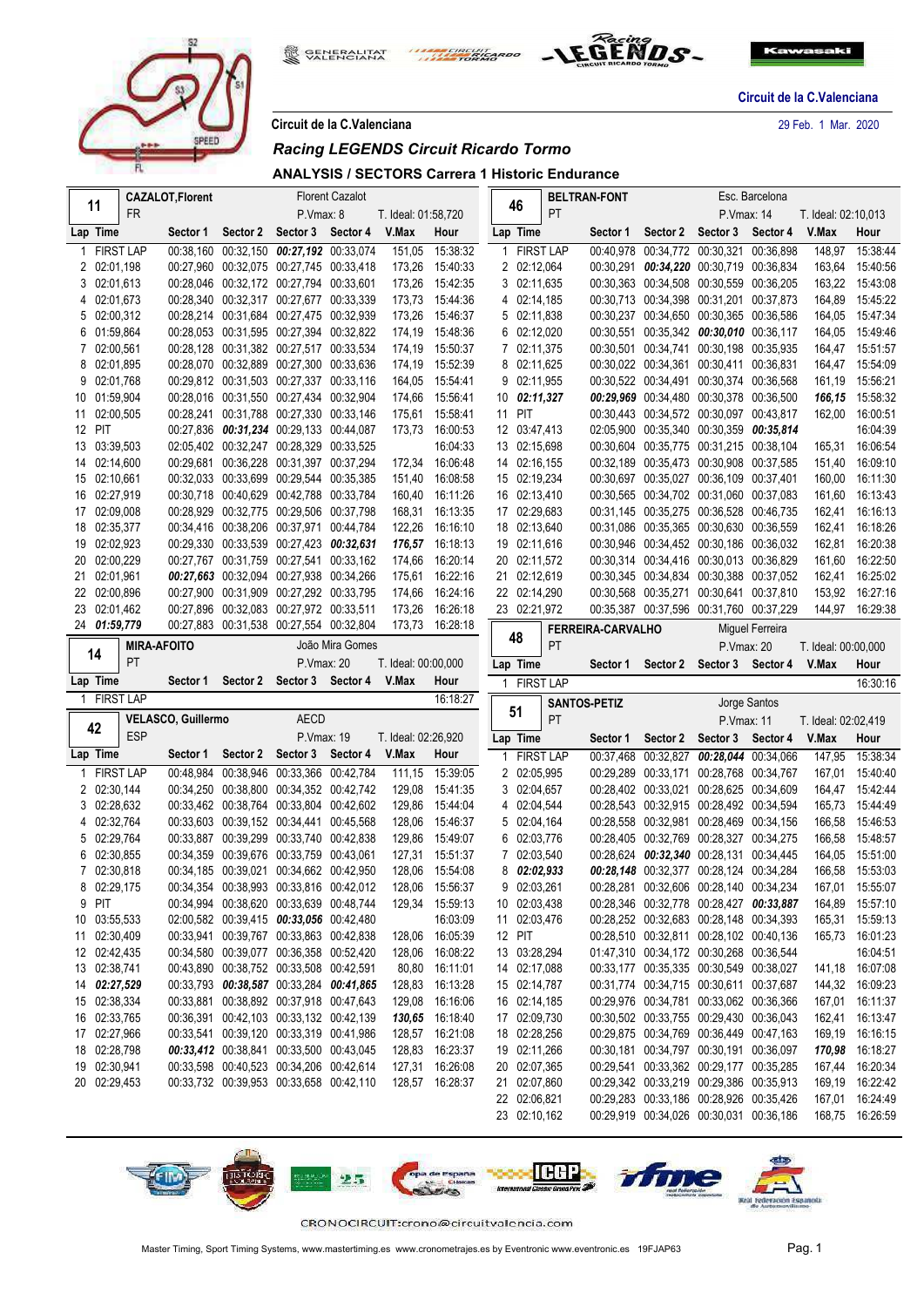

**GENERALITAT**<br>VALENCIANA THE CIRCUIT ARDO



**Circuit de la C.Valenciana**

**Circuit de la C.Valenciana** 29 Feb. 1 Mar. 2020

|  | Circuit de la C.Valenciana |
|--|----------------------------|

# *Racing LEGENDS Circuit Ricardo Tormo*

**ANALYSIS / SECTORS Carrera 1 Historic Endurance**

|   |                  |                    | <b>CAZALOT, Florent</b>   |                                         |                   | <b>Florent Cazalot</b> |                     |                  |        |                              |           | <b>BELTRAN-FONT</b>      |          |                                                                                    | Esc. Barcelona  |                     |                                    |
|---|------------------|--------------------|---------------------------|-----------------------------------------|-------------------|------------------------|---------------------|------------------|--------|------------------------------|-----------|--------------------------|----------|------------------------------------------------------------------------------------|-----------------|---------------------|------------------------------------|
|   | 11               | <b>FR</b>          |                           |                                         | P.Vmax: 8         |                        | T. Ideal: 01:58,720 |                  |        | 46                           | <b>PT</b> |                          |          | P. Vmax: 14                                                                        |                 | T. Ideal: 02:10,013 |                                    |
|   | Lap Time         |                    | Sector 1                  | Sector 2                                | Sector 3          | Sector 4               | V.Max               | Hour             |        | Lap Time                     |           | Sector 1                 | Sector 2 | Sector 3                                                                           | Sector 4        | V.Max               | Hour                               |
|   | <b>FIRST LAP</b> |                    |                           | 00:38,160 00:32,150 00:27,192 00:33,074 |                   |                        | 151,05              | 15:38:32         |        | 1 FIRST LAP                  |           |                          |          | 00:40,978 00:34,772 00:30,321 00:36,898                                            |                 | 148,97              | 15:38:44                           |
|   | 2 02:01,198      |                    |                           | 00:27,960 00:32,075 00:27,745 00:33,418 |                   |                        | 173,26              | 15:40:33         |        | 2 02:12,064                  |           |                          |          | 00:30,291 00:34,220 00:30,719 00:36,834                                            |                 | 163,64              | 15:40:56                           |
|   | 3 02:01.613      |                    |                           | 00:28,046 00:32,172 00:27,794 00:33,601 |                   |                        | 173,26              | 15:42:35         |        | 3 02:11,635                  |           |                          |          | 00:30,363 00:34,508 00:30,559 00:36,205                                            |                 | 163,22              | 15:43:08                           |
|   | 4 02:01.673      |                    |                           | 00:28,340 00:32,317 00:27,677 00:33,339 |                   |                        | 173,73              | 15:44:36         |        | 4 02:14,185                  |           |                          |          | 00:30,713 00:34,398 00:31,201 00:37,873                                            |                 | 164,89              | 15:45:22                           |
|   | 5 02:00,312      |                    |                           | 00:28,214 00:31,684 00:27,475 00:32,939 |                   |                        | 173,26              | 15:46:37         |        | 5 02:11,838                  |           |                          |          | 00:30,237 00:34,650 00:30,365 00:36,586                                            |                 | 164,05              | 15:47:34                           |
|   | 6 01:59,864      |                    |                           | 00:28,053 00:31,595 00:27,394 00:32,822 |                   |                        | 174,19              | 15:48:36         |        | 6 02:12,020                  |           |                          |          | 00:30,551 00:35,342 00:30,010 00:36,117                                            |                 | 164,05              | 15:49:46                           |
|   | 7 02:00,561      |                    |                           | 00:28,128 00:31,382 00:27,517 00:33,534 |                   |                        | 174,19              | 15:50:37         |        | 7 02:11,375                  |           |                          |          | 00:30,501 00:34,741 00:30,198 00:35,935                                            |                 | 164,47              | 15:51:57                           |
|   | 8 02:01,895      |                    |                           | 00:28,070 00:32,889 00:27,300 00:33,636 |                   |                        |                     | 174,19 15:52:39  |        | 8 02:11,625                  |           |                          |          | 00:30,022 00:34,361 00:30,411 00:36,831                                            |                 | 164,47              | 15:54:09                           |
| 9 | 02:01.768        |                    |                           | 00:29,812 00:31,503 00:27,337 00:33,116 |                   |                        | 164,05              | 15:54:41         |        | 9 02:11,955                  |           |                          |          | 00:30,522 00:34,491 00:30,374 00:36,568                                            |                 | 161,19              | 15:56:21                           |
|   | 10 01:59,904     |                    |                           | 00:28,016 00:31,550 00:27,434 00:32,904 |                   |                        | 174,66              | 15:56:41         |        | $10 \quad 02:11,327$         |           |                          |          | 00:29,969 00:34,480 00:30,378 00:36,500                                            |                 | 166,15              | 15:58:32                           |
|   | 11 02:00,505     |                    |                           | 00:28,241 00:31,788 00:27,330 00:33,146 |                   |                        | 175,61              | 15:58:41         | 11 PIT |                              |           |                          |          | 00:30.443 00:34.572 00:30.097 00:43.817                                            |                 | 162,00              | 16:00:51                           |
|   | 12 PIT           |                    |                           | 00:27,836 00:31,234 00:29,133 00:44,087 |                   |                        | 173,73              | 16:00:53         |        | 12 03:47,413                 |           |                          |          | 02:05,900 00:35,340 00:30,359 00:35,814                                            |                 |                     | 16:04:39                           |
|   | 13 03:39,503     |                    |                           | 02:05,402 00:32,247 00:28,329 00:33,525 |                   |                        |                     | 16:04:33         |        | 13 02:15,698                 |           |                          |          | 00:30,604 00:35,775 00:31,215 00:38,104                                            |                 |                     | 165,31 16:06:54                    |
|   | 14 02:14,600     |                    |                           | 00:29,681 00:36,228 00:31,397 00:37,294 |                   |                        |                     | 172,34 16:06:48  |        | 14 02:16,155                 |           |                          |          | 00:32,189 00:35,473 00:30,908 00:37,585                                            |                 | 151,40              | 16:09:10                           |
|   | 15 02:10,661     |                    |                           | 00:32,033 00:33,699 00:29,544 00:35,385 |                   |                        | 151,40              | 16:08:58         |        | 15 02:19,234                 |           |                          |          | 00:30,697 00:35,027 00:36,109 00:37,401                                            |                 | 160,00              | 16:11:30                           |
|   | 16 02:27,919     |                    |                           | 00:30.718 00:40.629 00:42.788 00:33.784 |                   |                        | 160,40              | 16:11:26         |        | 16 02:13,410                 |           |                          |          | 00:30,565 00:34,702 00:31,060 00:37,083                                            |                 | 161,60              | 16:13:43                           |
|   | 17 02:09,008     |                    |                           | 00:28,929 00:32,775 00:29,506 00:37,798 |                   |                        |                     | 168.31 16:13:35  |        | 17 02:29,683                 |           |                          |          | 00:31,145 00:35,275 00:36,528 00:46,735                                            |                 | 162,41              | 16:16:13                           |
|   | 18 02:35,377     |                    |                           | 00:34,416 00:38,206 00:37,971 00:44,784 |                   |                        | 122,26              | 16:16:10         |        | 18 02:13,640                 |           |                          |          | 00:31,086 00:35,365 00:30,630 00:36,559                                            |                 | 162,41              | 16:18:26                           |
|   | 19 02:02,923     |                    |                           | 00:29,330 00:33,539 00:27,423 00:32,631 |                   |                        |                     | 176,57 16:18:13  |        | 19 02:11,616                 |           |                          |          | 00:30,946 00:34,452 00:30,186 00:36,032                                            |                 | 162,81              | 16:20:38                           |
|   | 20 02:00,229     |                    |                           | 00:27,767 00:31,759 00:27,541 00:33,162 |                   |                        | 174,66              | 16:20:14         |        | 20 02:11,572                 |           |                          |          | 00:30,314 00:34,416 00:30,013 00:36,829                                            |                 | 161,60              | 16:22:50                           |
|   | 21 02:01.961     |                    |                           | 00:27,663 00:32,094 00:27,938 00:34,266 |                   |                        |                     | 175,61 16:22:16  |        | 21 02:12,619                 |           |                          |          | 00:30,345 00:34,834 00:30,388 00:37,052                                            |                 | 162,41              | 16:25:02                           |
|   | 22 02:00,896     |                    |                           | 00:27,900 00:31,909 00:27,292 00:33,795 |                   |                        | 174,66              | 16:24:16         |        | 22 02:14,290                 |           |                          |          | 00:30,568 00:35,271 00:30,641 00:37,810                                            |                 | 153,92              | 16:27:16                           |
|   | 23 02:01,462     |                    |                           | 00:27,896 00:32,083 00:27,972 00:33,511 |                   |                        | 173,26              | 16:26:18         |        | 23 02:21,972                 |           |                          |          | 00:35,387 00:37,596 00:31,760 00:37,229                                            |                 |                     | 144,97 16:29:38                    |
|   | 24 01:59,779     |                    |                           | 00:27,883 00:31,538 00:27,554 00:32,804 |                   |                        | 173,73              | 16:28:18         |        | 48                           |           | <b>FERREIRA-CARVALHO</b> |          |                                                                                    | Miguel Ferreira |                     |                                    |
|   |                  | <b>MIRA-AFOITO</b> |                           |                                         |                   | João Mira Gomes        |                     |                  |        |                              | PT        |                          |          | P. Vmax: 20                                                                        |                 | T. Ideal: 00:00,000 |                                    |
|   | 14               |                    |                           |                                         |                   |                        |                     |                  |        |                              |           |                          |          |                                                                                    |                 |                     |                                    |
|   |                  | <b>PT</b>          |                           |                                         | P.Vmax: 20        |                        | T. Ideal: 00:00,000 |                  |        | Lap Time                     |           | Sector 1                 | Sector 2 | Sector 3 Sector 4                                                                  |                 | V.Max               | Hour                               |
|   | Lap Time         |                    |                           | Sector 1 Sector 2 Sector 3 Sector 4     |                   |                        | V.Max               | Hour             |        | 1 FIRST LAP                  |           |                          |          |                                                                                    |                 |                     | 16:30:16                           |
|   | 1 FIRST LAP      |                    |                           |                                         |                   |                        |                     | 16:18:27         |        |                              |           | <b>SANTOS-PETIZ</b>      |          |                                                                                    | Jorge Santos    |                     |                                    |
|   |                  |                    | <b>VELASCO, Guillermo</b> |                                         | <b>AECD</b>       |                        |                     |                  |        | 51                           | PT        |                          |          | <b>P.Vmax: 11</b>                                                                  |                 | T. Ideal: 02:02,419 |                                    |
|   | 42               | <b>ESP</b>         |                           |                                         | P.Vmax: 19        |                        | T. Ideal: 02:26,920 |                  |        | Lap Time                     |           | Sector 1                 | Sector 2 | Sector 3                                                                           | Sector 4        | V.Max               | Hour                               |
|   | Lap Time         |                    | Sector 1 Sector 2         |                                         | Sector 3 Sector 4 |                        | V.Max               | Hour             |        | 1 FIRST LAP                  |           |                          |          | 00:37,468 00:32,827 00:28,044 00:34,066                                            |                 | 147,95              | 15:38:34                           |
|   | 1 FIRST LAP      |                    |                           | 00:48,984 00:38,946 00:33,366 00:42,784 |                   |                        | 111,15              | 15:39:05         |        | 2 02:05,995                  |           |                          |          | 00:29,289 00:33,171 00:28,768 00:34,767                                            |                 | 167,01              | 15:40:40                           |
|   | 2 02:30,144      |                    |                           | 00:34,250 00:38,800 00:34,352 00:42,742 |                   |                        | 129,08              | 15:41:35         |        | 3 02:04,657                  |           |                          |          | 00:28,402 00:33,021 00:28,625 00:34,609                                            |                 | 164,47              | 15:42:44                           |
|   | 3 02:28,632      |                    |                           | 00:33,462 00:38,764 00:33,804 00:42,602 |                   |                        | 129,86              | 15:44:04         |        | 4 02:04,544                  |           |                          |          | 00:28,543 00:32,915 00:28,492 00:34,594                                            |                 | 165,73              | 15:44:49                           |
|   | 4 02:32,764      |                    |                           | 00:33,603 00:39,152 00:34,441 00:45,568 |                   |                        | 128,06              | 15:46:37         |        | 5 02:04,164                  |           |                          |          | 00:28,558 00:32,981 00:28,469 00:34,156                                            |                 | 166,58              | 15:46:53                           |
|   | 5 02:29,764      |                    |                           | 00:33,887 00:39,299 00:33,740 00:42,838 |                   |                        | 129,86              | 15:49:07         |        | 6 02:03,776                  |           |                          |          | 00:28,405 00:32,769 00:28,327 00:34,275                                            |                 | 166,58              | 15:48:57                           |
|   | 6 02:30,855      |                    |                           | 00:34,359 00:39,676 00:33,759 00:43,061 |                   |                        | 127,31              | 15:51:37         |        | 7 02:03,540                  |           |                          |          | 00:28,624 00:32,340 00:28,131 00:34,445                                            |                 | 164,05              | 15:51:00                           |
|   | 7 02:30,818      |                    |                           | 00:34,185 00:39,021 00:34,662 00:42,950 |                   |                        |                     | 128.06  15:54:08 |        | 8 02:02,933                  |           |                          |          | 00:28,148 00:32,377 00:28,124 00:34,284                                            |                 |                     | 166,58 15:53:03                    |
|   | 8 02:29,175      |                    |                           | 00:34,354 00:38,993 00:33,816 00:42,012 |                   |                        | 128,06              | 15:56:37         |        | 9 02:03,261                  |           |                          |          | 00:28,281 00:32,606 00:28,140 00:34,234                                            |                 |                     | 167,01 15:55:07                    |
|   | 9 PIT            |                    |                           | 00:34,994 00:38,620 00:33,639 00:48,744 |                   |                        |                     | 129,34 15:59:13  |        | 10 02:03,438                 |           |                          |          | 00:28,346 00:32,778 00:28,427 00:33,887                                            |                 |                     | 164,89 15:57:10                    |
|   | 10 03:55,533     |                    |                           | 02:00,582 00:39,415 00:33,056 00:42,480 |                   |                        |                     | 16:03:09         |        | 11 02:03,476                 |           |                          |          | 00:28,252 00:32,683 00:28,148 00:34,393                                            |                 |                     | 165,31 15:59:13                    |
|   | 11 02:30,409     |                    |                           | 00:33,941 00:39,767 00:33,863 00:42,838 |                   |                        | 128,06              | 16:05:39         | 12 PIT |                              |           |                          |          | 00:28,510 00:32,811 00:28,102 00:40,136                                            |                 |                     | 165,73 16:01:23                    |
|   | 12 02:42,435     |                    |                           | 00:34,580 00:39,077 00:36,358 00:52,420 |                   |                        | 128,06              | 16:08:22         |        | 13 03:28,294                 |           |                          |          | 01:47,310 00:34,172 00:30,268 00:36,544                                            |                 |                     | 16:04:51                           |
|   | 13 02:38,741     |                    |                           | 00:43,890 00:38,752 00:33,508 00:42,591 |                   |                        |                     | 80,80 16:11:01   |        | 14 02:17,088                 |           |                          |          | 00:33,177 00:35,335 00:30,549 00:38,027                                            |                 |                     | 141,18 16:07:08                    |
|   | 14 02:27,529     |                    |                           | 00:33,793 00:38,587 00:33,284 00:41,865 |                   |                        | 128,83              | 16:13:28         |        | 15 02:14,787                 |           |                          |          | 00:31,774 00:34,715 00:30,611 00:37,687                                            |                 |                     | 144,32 16:09:23                    |
|   | 15 02:38,334     |                    |                           | 00:33,881 00:38,892 00:37,918 00:47,643 |                   |                        | 129,08              | 16:16:06         |        | 16 02:14,185                 |           |                          |          | 00:29,976 00:34,781 00:33,062 00:36,366                                            |                 |                     | 167,01 16:11:37                    |
|   | 16 02:33,765     |                    |                           | 00:36,391 00:42,103 00:33,132 00:42,139 |                   |                        |                     | 130,65 16:18:40  |        | 17 02:09,730                 |           |                          |          | 00:30,502 00:33,755 00:29,430 00:36,043                                            |                 |                     | 162,41 16:13:47                    |
|   | 17 02:27,966     |                    |                           | 00:33,541 00:39,120 00:33,319 00:41,986 |                   |                        |                     | 128,57 16:21:08  |        | 18 02:28,256                 |           |                          |          | 00:29,875 00:34,769 00:36,449 00:47,163                                            |                 |                     | 169,19 16:16:15                    |
|   | 18 02:28,798     |                    |                           | 00:33,412 00:38,841 00:33,500 00:43,045 |                   |                        |                     | 128,83 16:23:37  |        | 19 02:11,266                 |           |                          |          | 00:30.181 00:34.797 00:30.191 00:36.097                                            |                 |                     | 170,98 16:18:27                    |
|   | 19 02:30,941     |                    |                           | 00:33,598 00:40,523 00:34,206 00:42,614 |                   |                        |                     | 127,31 16:26:08  |        | 20 02:07,365                 |           |                          |          | 00:29.541 00:33.362 00:29.177 00:35.285                                            |                 |                     | 167,44 16:20:34                    |
|   | 20 02:29,453     |                    |                           | 00:33,732 00:39,953 00:33,658 00:42,110 |                   |                        |                     | 128,57 16:28:37  |        | 21 02:07,860                 |           |                          |          | 00:29,342 00:33,219 00:29,386 00:35,913                                            |                 |                     | 169,19 16:22:42                    |
|   |                  |                    |                           |                                         |                   |                        |                     |                  |        | 22 02:06,821<br>23 02:10,162 |           |                          |          | 00:29,283 00:33,186 00:28,926 00:35,426<br>00:29,919 00:34,026 00:30,031 00:36,186 |                 |                     | 167,01 16:24:49<br>168,75 16:26:59 |

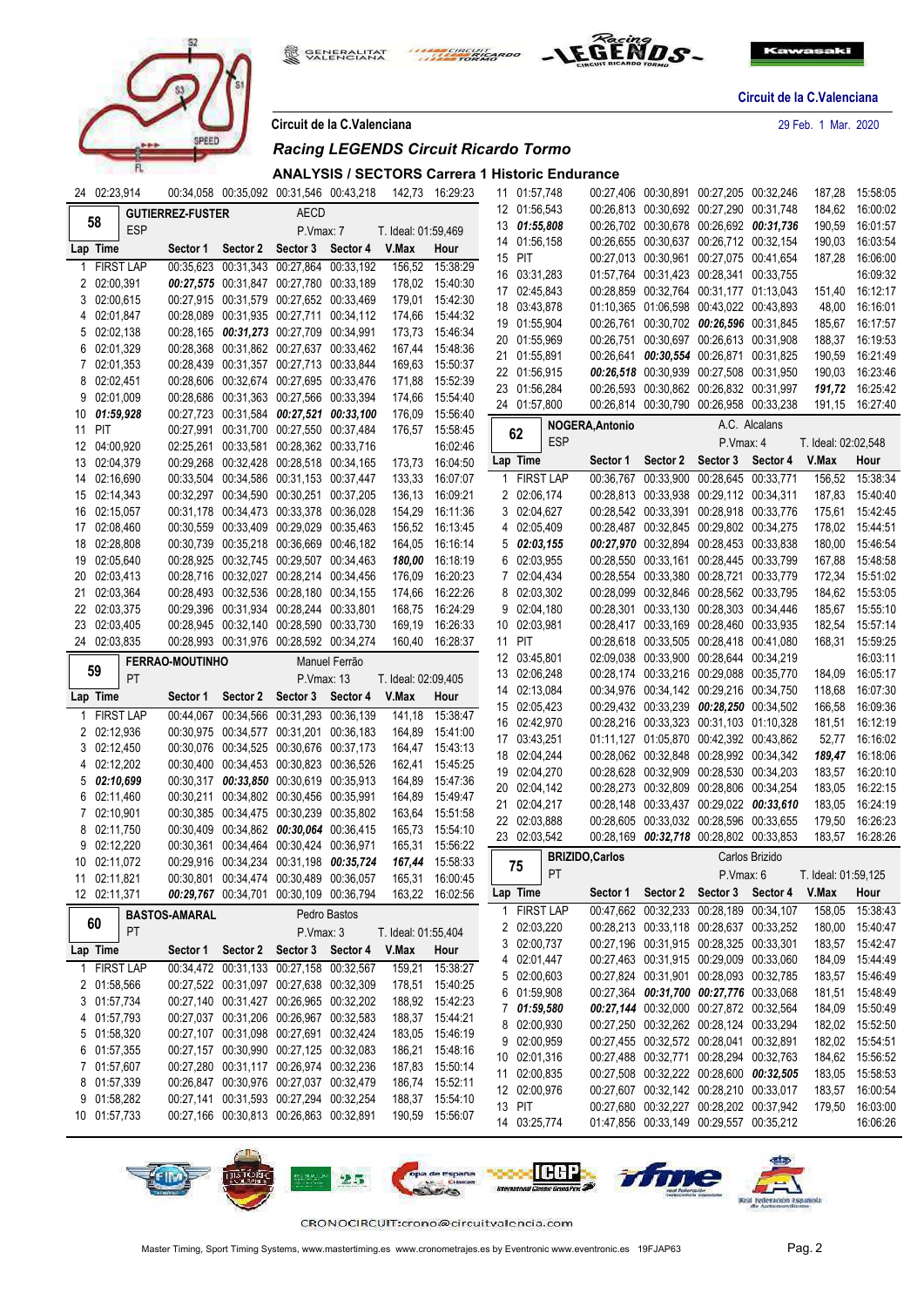

**GENERALITAT**<br>VALENCIANA THE CIRCUIT ARDO



**Circuit de la C.Valenciana**

**Circuit de la C.Valenciana** 29 Feb. 1 Mar. 2020

### **ANALYSIS / SECTORS Carrera 1 Historic Endurance**

|   | 24 02:23,914 |                  |                         |                                         |                   | 00:34,058 00:35,092 00:31,546 00:43,218 | 142,73              | 16:29:23        |   |          | 11 01:57,748                 | 00:27,406 00:30,891 00:27,205 00:32,246 |          |                                                                                    |                | 187,28              | 15:58:05             |
|---|--------------|------------------|-------------------------|-----------------------------------------|-------------------|-----------------------------------------|---------------------|-----------------|---|----------|------------------------------|-----------------------------------------|----------|------------------------------------------------------------------------------------|----------------|---------------------|----------------------|
|   |              |                  | <b>GUTIERREZ-FUSTER</b> |                                         | AECD              |                                         |                     |                 |   |          | 12 01:56,543                 |                                         |          | 00:26,813 00:30,692 00:27,290 00:31,748                                            |                | 184,62              | 16:00:02             |
|   | 58           | <b>ESP</b>       |                         |                                         | P.Vmax: 7         |                                         | T. Ideal: 01:59,469 |                 |   |          | 13 01:55,808                 |                                         |          | 00:26,702 00:30,678 00:26,692 00:31,736                                            |                | 190,59              | 16:01:57             |
|   | Lap Time     |                  |                         | Sector 1 Sector 2 Sector 3              |                   | Sector 4                                | V.Max               | Hour            |   |          | 14 01:56,158                 |                                         |          | 00:26,655 00:30,637 00:26,712 00:32,154                                            |                | 190,03              | 16:03:54             |
| 1 |              | <b>FIRST LAP</b> |                         | 00:35.623 00:31.343 00:27.864 00:33.192 |                   |                                         | 156,52              | 15:38:29        |   | 15 PIT   |                              |                                         |          | 00:27,013 00:30,961 00:27,075 00:41,654                                            |                | 187,28              | 16:06:00             |
|   | 2 02:00,391  |                  |                         | 00:27,575 00:31,847 00:27,780 00:33,189 |                   |                                         |                     | 178,02 15:40:30 |   |          | 16 03:31,283                 |                                         |          | 01:57,764 00:31,423 00:28,341 00:33,755                                            |                |                     | 16:09:32             |
|   | 3 02:00,615  |                  |                         | 00:27,915 00:31,579 00:27,652 00:33,469 |                   |                                         |                     | 179,01 15:42:30 |   |          | 17 02:45.843                 |                                         |          | 00:28,859 00:32,764 00:31,177 01:13,043                                            |                |                     | 151,40 16:12:17      |
|   | 4 02:01,847  |                  |                         | 00:28,089 00:31,935 00:27,711 00:34,112 |                   |                                         |                     | 174,66 15:44:32 |   |          | 18 03:43,878                 |                                         |          | 01:10,365 01:06,598 00:43,022 00:43,893                                            |                | 48,00               | 16:16:01             |
|   | 5 02:02,138  |                  |                         | 00:28,165 00:31,273 00:27,709 00:34,991 |                   |                                         |                     | 173,73 15:46:34 |   |          | 19 01:55,904                 |                                         |          | 00:26,761 00:30,702 00:26,596 00:31,845                                            |                | 185,67              | 16:17:57             |
|   | 6 02:01,329  |                  |                         | 00:28,368 00:31,862 00:27,637 00:33,462 |                   |                                         |                     | 167,44 15:48:36 |   |          | 20 01:55,969                 |                                         |          | 00:26,751 00:30,697 00:26,613 00:31,908                                            |                | 188,37              | 16:19:53             |
|   | 7 02:01,353  |                  |                         | 00:28,439 00:31,357 00:27,713 00:33,844 |                   |                                         |                     | 169,63 15:50:37 |   |          | 21 01:55,891                 |                                         |          | 00:26,641 00:30,554 00:26,871 00:31,825                                            |                | 190,59              | 16:21:49             |
|   | 8 02:02,451  |                  |                         | 00:28,606 00:32,674 00:27,695 00:33,476 |                   |                                         |                     | 171,88 15:52:39 |   |          | 22 01:56,915                 |                                         |          | 00:26,518 00:30,939 00:27,508 00:31,950                                            |                | 190,03              | 16:23:46             |
|   | 9 02:01.009  |                  |                         | 00:28,686 00:31,363 00:27,566 00:33,394 |                   |                                         |                     | 174,66 15:54:40 |   |          | 23 01:56,284                 |                                         |          | 00:26,593 00:30,862 00:26,832 00:31,997                                            |                |                     | 191,72 16:25:42      |
|   | 10 01:59,928 |                  |                         | 00:27,723 00:31,584 00:27,521 00:33,100 |                   |                                         | 176,09              | 15:56:40        |   |          | 24 01:57,800                 |                                         |          | 00:26,814 00:30,790 00:26,958 00:33,238                                            |                |                     | 191,15 16:27:40      |
|   | 11 PIT       |                  |                         | 00:27,991 00:31,700 00:27,550 00:37,484 |                   |                                         |                     | 176,57 15:58:45 |   |          |                              | <b>NOGERA, Antonio</b>                  |          |                                                                                    | A.C. Alcalans  |                     |                      |
|   | 12 04:00,920 |                  |                         | 02:25,261 00:33,581 00:28,362 00:33,716 |                   |                                         |                     | 16:02:46        |   | 62       | <b>ESP</b>                   |                                         |          | P.Vmax: 4                                                                          |                | T. Ideal: 02:02,548 |                      |
|   | 13 02:04,379 |                  |                         | 00:29,268 00:32,428 00:28,518 00:34,165 |                   |                                         |                     | 173,73 16:04:50 |   | Lap Time |                              | Sector 1                                | Sector 2 | Sector 3                                                                           | Sector 4       | V.Max               | Hour                 |
|   | 14 02:16,690 |                  |                         | 00:33,504 00:34,586 00:31,153 00:37,447 |                   |                                         |                     | 133,33 16:07:07 |   |          | 1 FIRST LAP                  |                                         |          | 00:36,767 00:33,900 00:28,645 00:33,771                                            |                | 156,52              | 15:38:34             |
|   | 15 02:14,343 |                  |                         | 00:32,297 00:34,590 00:30,251 00:37,205 |                   |                                         |                     | 136,13 16:09:21 |   |          | 2 02:06,174                  |                                         |          | 00:28,813 00:33,938 00:29,112 00:34,311                                            |                |                     | 187,83 15:40:40      |
|   | 16 02:15,057 |                  |                         | 00:31,178 00:34,473 00:33,378 00:36,028 |                   |                                         |                     | 154,29 16:11:36 |   |          | 3 02:04,627                  |                                         |          | 00:28,542 00:33,391 00:28,918 00:33,776                                            |                | 175,61              | 15:42:45             |
|   | 17 02:08,460 |                  |                         | 00:30,559 00:33,409 00:29,029 00:35,463 |                   |                                         |                     | 156,52 16:13:45 |   |          | 4 02:05,409                  |                                         |          | 00:28,487 00:32,845 00:29,802 00:34,275                                            |                |                     | 178,02 15:44:51      |
|   | 18 02:28,808 |                  |                         | 00:30,739 00:35,218 00:36,669 00:46,182 |                   |                                         |                     | 164,05 16:16:14 |   |          | $5\quad 02:03,155$           |                                         |          | 00:27,970 00:32,894 00:28,453 00:33,838                                            |                | 180,00              | 15:46:54             |
|   | 19 02:05,640 |                  |                         | 00:28,925 00:32,745 00:29,507 00:34,463 |                   |                                         |                     | 180,00 16:18:19 |   |          | 6 02:03,955                  |                                         |          | 00:28,550 00:33,161 00:28,445 00:33,799                                            |                | 167,88              | 15:48:58             |
|   | 20 02:03,413 |                  |                         | 00:28,716 00:32,027 00:28,214 00:34,456 |                   |                                         | 176,09              | 16:20:23        |   |          | 7 02:04,434                  |                                         |          | 00:28,554 00:33,380 00:28,721 00:33,779                                            |                | 172,34              | 15:51:02             |
|   | 21 02:03,364 |                  |                         | 00:28,493 00:32,536 00:28,180 00:34,155 |                   |                                         |                     | 174,66 16:22:26 |   |          | 8 02:03,302                  |                                         |          | 00:28,099 00:32,846 00:28,562 00:33,795                                            |                |                     | 184,62 15:53:05      |
|   | 22 02:03,375 |                  |                         | 00:29,396 00:31,934 00:28,244 00:33,801 |                   |                                         |                     | 168,75 16:24:29 |   |          | 9 02:04,180                  |                                         |          | 00:28,301 00:33,130 00:28,303 00:34,446                                            |                |                     | 185,67 15:55:10      |
|   | 23 02:03,405 |                  |                         | 00:28,945 00:32,140 00:28,590 00:33,730 |                   |                                         |                     | 169,19 16:26:33 |   |          | 10 02:03,981                 |                                         |          | 00:28,417 00:33,169 00:28,460 00:33,935                                            |                | 182,54              | 15:57:14             |
|   | 24 02:03,835 |                  |                         | 00:28,993 00:31,976 00:28,592 00:34,274 |                   |                                         |                     | 160,40 16:28:37 |   | 11 PIT   |                              |                                         |          | 00:28,618 00:33,505 00:28,418 00:41,080                                            |                | 168,31              | 15:59:25             |
|   |              |                  | <b>FERRAO-MOUTINHO</b>  |                                         |                   | Manuel Ferrão                           |                     |                 |   |          | 12 03:45,801                 |                                         |          | 02:09.038 00:33.900 00:28.644 00:34.219                                            |                |                     | 16:03:11             |
|   |              |                  |                         |                                         |                   |                                         |                     |                 |   |          |                              |                                         |          |                                                                                    |                |                     |                      |
|   | 59           |                  |                         |                                         |                   |                                         |                     |                 |   |          |                              |                                         |          |                                                                                    |                | 184,09              | 16:05:17             |
|   |              | <b>PT</b>        |                         |                                         | P.Vmax: 13        |                                         | T. Ideal: 02:09,405 |                 |   |          | 13 02:06,248<br>14 02:13,084 |                                         |          | 00:28,174 00:33,216 00:29,088 00:35,770<br>00:34,976 00:34,142 00:29,216 00:34,750 |                | 118,68              | 16:07:30             |
|   | Lap Time     |                  |                         | Sector 1 Sector 2                       | Sector 3          | Sector 4                                | V.Max               | Hour            |   |          | 15 02:05,423                 |                                         |          | 00:29,432 00:33,239 00:28,250 00:34,502                                            |                | 166,58              | 16:09:36             |
|   |              | <b>FIRST LAP</b> |                         | 00:44.067 00:34.566 00:31.293 00:36.139 |                   |                                         | 141,18              | 15:38:47        |   |          | 16 02:42,970                 |                                         |          | 00:28,216 00:33,323 00:31,103 01:10,328                                            |                |                     | 181,51 16:12:19      |
|   | 2 02:12,936  |                  |                         | 00:30,975 00:34,577 00:31,201 00:36,183 |                   |                                         | 164,89              | 15:41:00        |   |          | 17 03:43,251                 |                                         |          | 01:11,127 01:05,870 00:42,392 00:43,862                                            |                |                     | 52,77 16:16:02       |
|   | 3 02:12,450  |                  |                         | 00:30,076 00:34,525 00:30,676 00:37,173 |                   |                                         |                     | 164,47 15:43:13 |   |          | 18 02:04,244                 |                                         |          | 00:28,062 00:32,848 00:28,992 00:34,342                                            |                |                     | 189,47 16:18:06      |
|   | 4 02:12,202  |                  |                         | 00:30,400 00:34,453 00:30,823 00:36,526 |                   |                                         |                     | 162,41 15:45:25 |   |          | 19 02:04,270                 |                                         |          | 00:28,628 00:32,909 00:28,530 00:34,203                                            |                | 183,57              | 16:20:10             |
|   | 502:10,699   |                  |                         | 00:30,317 00:33,850 00:30,619 00:35,913 |                   |                                         |                     | 164,89 15:47:36 |   |          | 20 02:04,142                 |                                         |          | 00:28,273 00:32,809 00:28,806 00:34,254                                            |                | 183,05              | 16:22:15             |
|   | 6 02:11,460  |                  |                         | 00:30.211 00:34.802 00:30.456 00:35.991 |                   |                                         |                     | 164,89 15:49:47 |   |          | 21 02:04,217                 |                                         |          | 00:28,148 00:33,437 00:29,022 00:33,610                                            |                | 183,05              | 16:24:19             |
|   | 7 02:10,901  |                  |                         | 00:30,385 00:34,475 00:30,239 00:35,802 |                   |                                         |                     | 163,64 15:51:58 |   |          | 22 02:03,888                 |                                         |          | 00:28,605 00:33,032 00:28,596 00:33,655                                            |                | 179,50              | 16:26:23             |
|   | 8 02:11,750  |                  |                         | 00:30,409 00:34,862 00:30,064 00:36,415 |                   |                                         |                     | 165,73 15:54:10 |   |          | 23 02:03,542                 |                                         |          | 00:28,169 00:32,718 00:28,802 00:33,853                                            |                | 183,57              | 16:28:26             |
|   | 9 02:12,220  |                  |                         | 00:30,361 00:34,464 00:30,424 00:36,971 |                   |                                         | 165,31              | 15:56:22        |   |          |                              |                                         |          |                                                                                    | Carlos Brizido |                     |                      |
|   | 10 02:11,072 |                  |                         | 00:29,916 00:34,234 00:31,198 00:35,724 |                   |                                         |                     | 167,44 15:58:33 |   | 75       |                              | <b>BRIZIDO, Carlos</b>                  |          |                                                                                    |                |                     |                      |
|   | 11 02:11.821 |                  |                         | 00:30,801 00:34,474 00:30,489 00:36,057 |                   |                                         |                     | 165,31 16:00:45 |   |          | PT                           |                                         |          | P.Vmax: 6                                                                          |                | T. Ideal: 01:59,125 |                      |
|   | 12 02:11,371 |                  |                         | 00:29,767 00:34,701 00:30,109 00:36,794 |                   |                                         | 163,22 16:02:56     |                 |   | Lap Time |                              |                                         |          | Sector 1 Sector 2 Sector 3 Sector 4                                                |                | V.Max               | Hour                 |
|   |              |                  | <b>BASTOS-AMARAL</b>    |                                         |                   | Pedro Bastos                            |                     |                 | 1 |          | <b>FIRST LAP</b>             |                                         |          | 00:47,662 00:32,233 00:28,189 00:34,107                                            |                | 158,05              | 15:38:43             |
|   | 60           | <b>PT</b>        |                         |                                         | P.Vmax: 3         |                                         | T. Ideal: 01:55,404 |                 |   |          | 2 02:03,220                  |                                         |          | 00:28,213 00:33,118 00:28,637 00:33,252                                            |                |                     | 180,00 15:40:47      |
|   | Lap Time     |                  |                         | Sector 1 Sector 2                       | Sector 3 Sector 4 |                                         | V.Max               | Hour            |   |          | 3 02:00,737                  |                                         |          | 00:27,196 00:31,915 00:28,325 00:33,301                                            |                |                     | 183,57 15:42:47      |
|   | 1 FIRST LAP  |                  |                         | 00:34,472 00:31,133 00:27,158 00:32,567 |                   |                                         | 159,21              | 15:38:27        |   |          | 4 02:01,447                  |                                         |          | 00:27,463 00:31,915 00:29,009 00:33,060                                            |                | 184,09              | 15:44:49             |
|   | 2 01:58,566  |                  |                         | 00:27,522 00:31,097 00:27,638 00:32,309 |                   |                                         |                     | 178,51 15:40:25 |   |          | 5 02:00,603                  |                                         |          | 00:27,824 00:31,901 00:28,093 00:32,785                                            |                |                     | 183,57 15:46:49      |
|   | 3 01:57,734  |                  |                         | 00:27,140 00:31,427 00:26,965 00:32,202 |                   |                                         |                     | 188,92 15:42:23 |   |          | 6 01:59,908                  |                                         |          | 00:27,364 00:31,700 00:27,776 00:33,068                                            |                |                     | 181,51 15:48:49      |
|   | 4 01:57,793  |                  |                         | 00:27,037 00:31,206 00:26,967 00:32,583 |                   |                                         |                     | 188,37 15:44:21 |   |          | 7 01:59,580                  |                                         |          | 00:27,144 00:32,000 00:27,872 00:32,564                                            |                |                     | 184,09 15:50:49      |
|   | 5 01:58,320  |                  |                         | 00:27,107 00:31,098 00:27,691 00:32,424 |                   |                                         |                     | 183,05 15:46:19 |   |          | 8 02:00,930                  |                                         |          | 00:27,250 00:32,262 00:28,124 00:33,294                                            |                |                     | 182,02 15:52:50      |
|   | 6 01:57,355  |                  |                         | 00:27,157 00:30,990 00:27,125 00:32,083 |                   |                                         |                     | 186,21 15:48:16 |   |          | 9 02:00,959                  |                                         |          | 00:27,455 00:32,572 00:28,041 00:32,891                                            |                |                     | 182,02 15:54:51      |
|   | 7 01:57,607  |                  |                         | 00:27,280 00:31,117 00:26,974 00:32,236 |                   |                                         |                     | 187,83 15:50:14 |   |          | 10 02:01,316                 |                                         |          | 00:27,488 00:32,771 00:28,294 00:32,763                                            |                |                     | 184,62 15:56:52      |
|   | 8 01:57,339  |                  |                         | 00:26,847 00:30,976 00:27,037 00:32,479 |                   |                                         |                     | 186,74 15:52:11 |   |          | 11 02:00,835                 |                                         |          | 00:27,508 00:32,222 00:28,600 00:32,505                                            |                | 183,05              | 15:58:53             |
|   | 9 01:58,282  |                  |                         | 00:27,141 00:31,593 00:27,294 00:32,254 |                   |                                         |                     | 188,37 15:54:10 |   |          | 12 02:00,976                 |                                         |          | 00:27,607 00:32,142 00:28,210 00:33,017                                            |                |                     | 183,57 16:00:54      |
|   | 10 01:57,733 |                  |                         | 00:27,166 00:30,813 00:26,863 00:32,891 |                   |                                         |                     | 190,59 15:56:07 |   | 13 PIT   | 14 03:25,774                 |                                         |          | 00:27,680 00:32,227 00:28,202 00:37,942<br>01:47,856 00:33,149 00:29,557 00:35,212 |                | 179,50              | 16:03:00<br>16:06:26 |

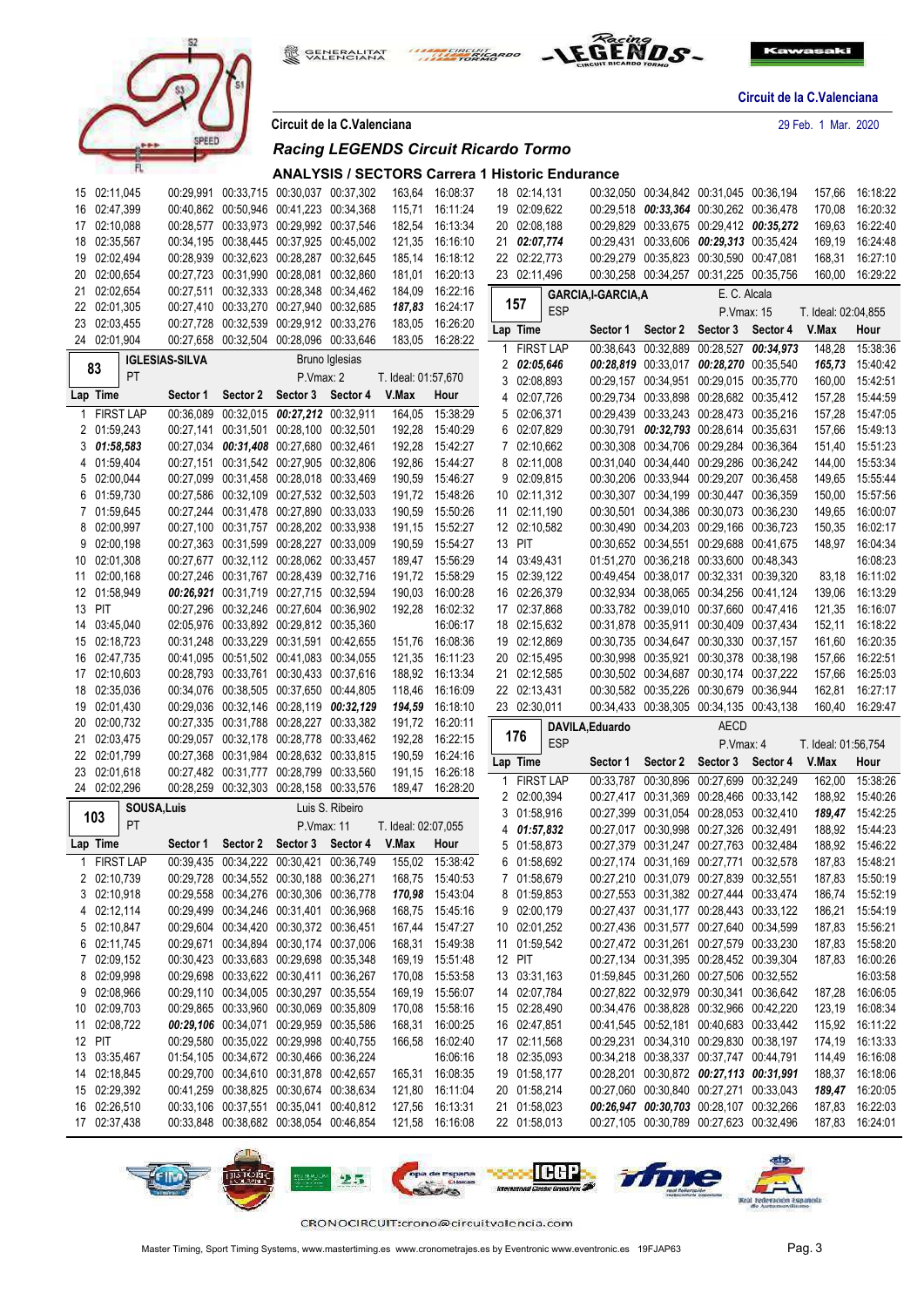



**Circuit de la C.Valenciana** 29 Feb. 1 Mar. 2020

| <u>UITUUR UU IU U. VUIUITUITU</u> |  |             |  |  |
|-----------------------------------|--|-------------|--|--|
|                                   |  |             |  |  |
|                                   |  | - - - - - - |  |  |

**GENERALITAT**<br>VALENCIANA

髋

# *Racing LEGENDS Circuit Ricardo Tormo*

| ANALYSIS / SECTORS Carrera 1 Historic Endurance |
|-------------------------------------------------|

THE CIRCUIT SICARDO

| 15 02:11,045                 |                       |                                                                                    | 00:29,991 00:33,715 00:30,037 00:37,302 |                 | 163,64              | 16:08:37                    | 18 02:14,131                 |             |                   | 00:32,050 00:34,842 00:31,045 00:36,194                                            | 157,66              | 16:18:22                   |
|------------------------------|-----------------------|------------------------------------------------------------------------------------|-----------------------------------------|-----------------|---------------------|-----------------------------|------------------------------|-------------|-------------------|------------------------------------------------------------------------------------|---------------------|----------------------------|
| 16 02:47,399                 |                       | 00:40,862 00:50,946 00:41,223 00:34,368                                            |                                         |                 | 115,71              | 16:11:24                    | 19 02:09,622                 |             |                   | 00:29,518 00:33,364 00:30,262 00:36,478                                            | 170,08              | 16:20:32                   |
| 17 02:10,088                 |                       | 00:28,577 00:33,973 00:29,992 00:37,546                                            |                                         |                 | 182,54              | 16:13:34                    | 20 02:08,188                 |             |                   | 00:29,829 00:33,675 00:29,412 00:35,272                                            | 169,63              | 16:22:40                   |
| 18 02:35,567                 |                       | 00:34,195 00:38,445 00:37,925 00:45,002                                            |                                         |                 | 121,35              | 16:16:10                    | 21 02:07,774                 |             |                   | 00:29.431 00:33.606 00:29.313 00:35.424                                            | 169,19              | 16:24:48                   |
| 19 02:02,494                 |                       | 00:28,939 00:32,623 00:28,287 00:32,645                                            |                                         |                 | 185,14              | 16:18:12                    | 22 02:22,773                 |             |                   | 00:29,279 00:35,823 00:30,590 00:47,081                                            | 168,31              | 16:27:10                   |
| 20 02:00,654                 |                       | 00:27,723 00:31,990 00:28,081 00:32,860                                            |                                         |                 |                     | 181,01 16:20:13             | 23 02:11,496                 |             |                   | 00:30,258 00:34,257 00:31,225 00:35,756                                            | 160,00              | 16:29:22                   |
| 21 02:02,654                 |                       | 00:27.511 00:32.333 00:28.348 00:34.462                                            |                                         |                 | 184,09              | 16:22:16                    |                              |             | GARCIA,I-GARCIA,A | E. C. Alcala                                                                       |                     |                            |
| 22 02:01,305                 |                       | 00:27,410 00:33,270 00:27,940 00:32,685                                            |                                         |                 | 187,83              | 16:24:17                    | 157                          | <b>ESP</b>  |                   | P.Vmax: 15                                                                         | T. Ideal: 02:04,855 |                            |
| 23 02:03,455                 |                       | 00:27,728 00:32,539 00:29,912 00:33,276                                            |                                         |                 | 183,05              | 16:26:20                    | Lap Time                     |             |                   |                                                                                    | V.Max               |                            |
| 24 02:01,904                 |                       | 00:27,658 00:32,504 00:28,096 00:33,646                                            |                                         |                 |                     | 183,05 16:28:22             |                              |             | Sector 1          | Sector 2 Sector 3 Sector 4                                                         |                     | Hour                       |
|                              | <b>IGLESIAS-SILVA</b> |                                                                                    |                                         | Bruno Iglesias  |                     |                             |                              | 1 FIRST LAP |                   | 00:38,643 00:32,889 00:28,527 00:34,973                                            | 148,28              | 15:38:36                   |
| 83<br><b>PT</b>              |                       |                                                                                    | P.Vmax: 2                               |                 | T. Ideal: 01:57,670 |                             | 2 02:05,646                  |             |                   | 00:28,819 00:33,017 00:28,270 00:35,540                                            |                     | 165,73 15:40:42            |
| Lap Time                     | Sector 1              | Sector 2 Sector 3                                                                  |                                         | Sector 4        | V.Max               | Hour                        | 3 02:08,893                  |             |                   | 00:29,157 00:34,951 00:29,015 00:35,770                                            | 160,00              | 15:42:51                   |
| 1 FIRST LAP                  |                       | 00:36,089 00:32,015 00:27,212 00:32,911                                            |                                         |                 | 164,05              | 15:38:29                    | 4 02:07,726<br>5 02:06,371   |             |                   | 00:29,734 00:33,898 00:28,682 00:35,412<br>00:29,439 00:33,243 00:28,473 00:35,216 | 157,28              | 15:44:59                   |
| 2 01:59,243                  |                       | 00:27,141 00:31,501 00:28,100 00:32,501                                            |                                         |                 | 192,28              |                             | 6 02:07,829                  |             |                   | 00:30,791 00:32,793 00:28,614 00:35,631                                            | 157,28<br>157,66    | 15:47:05<br>15:49:13       |
| 301:58.583                   |                       | 00:27,034 00:31,408 00:27,680 00:32,461                                            |                                         |                 | 192,28              | 15:40:29<br>15:42:27        | 7 02:10,662                  |             |                   | 00:30,308 00:34,706 00:29,284 00:36,364                                            | 151,40              | 15:51:23                   |
| 4 01:59,404                  |                       | 00:27,151 00:31,542 00:27,905 00:32,806                                            |                                         |                 |                     | 15:44:27                    | 8 02:11,008                  |             |                   | 00:31,040 00:34,440 00:29,286 00:36,242                                            |                     | 15:53:34                   |
| 5 02:00,044                  |                       | 00:27,099 00:31,458 00:28,018 00:33,469                                            |                                         |                 | 192,86              | 15:46:27                    | 9 02:09,815                  |             |                   | 00:30,206 00:33,944 00:29,207 00:36,458                                            | 144,00              | 15:55:44                   |
| 6 01:59,730                  |                       | 00:27,586 00:32,109 00:27,532 00:32,503                                            |                                         |                 | 190,59              | 191,72 15:48:26             | 10 02:11,312                 |             |                   | 00:30,307 00:34,199 00:30,447 00:36,359                                            | 149,65<br>150,00    | 15:57:56                   |
| 7 01:59,645                  |                       | 00:27,244 00:31,478 00:27,890 00:33,033                                            |                                         |                 |                     | 15:50:26                    | 11 02:11,190                 |             |                   | 00:30,501 00:34,386 00:30,073 00:36,230                                            |                     | 16:00:07                   |
| 8 02:00,997                  |                       | 00:27,100 00:31,757 00:28,202 00:33,938                                            |                                         |                 | 190,59              | 191,15 15:52:27             | 12 02:10,582                 |             |                   | 00:30,490 00:34,203 00:29,166 00:36,723                                            | 149,65<br>150,35    | 16:02:17                   |
| 9 02:00.198                  |                       | 00:27,363 00:31,599 00:28,227 00:33,009                                            |                                         |                 |                     |                             |                              |             |                   | 00:30,652 00:34,551 00:29,688 00:41,675                                            |                     | 148.97 16:04:34            |
| 10 02:01,308                 |                       | 00:27,677 00:32,112 00:28,062 00:33,457                                            |                                         |                 | 190,59              | 15:54:27<br>189,47 15:56:29 | 13 PIT<br>14 03:49,431       |             |                   | 01:51.270 00:36.218 00:33.600 00:48.343                                            |                     | 16:08:23                   |
|                              |                       |                                                                                    |                                         |                 |                     |                             |                              |             |                   | 00:49.454 00:38.017 00:32.331 00:39.320                                            |                     |                            |
| 11 02:00,168                 |                       | 00:27,246 00:31,767 00:28,439 00:32,716<br>00:26,921 00:31,719 00:27,715 00:32,594 |                                         |                 | 191,72              | 15:58:29<br>16:00:28        | 15 02:39,122<br>16 02:26,379 |             |                   | 00:32.934 00:38.065 00:34.256 00:41.124                                            |                     | 83,18 16:11:02<br>16:13:29 |
| 12 01:58,949<br>13 PIT       |                       | 00:27,296 00:32,246 00:27,604 00:36,902                                            |                                         |                 | 190,03              |                             | 17 02:37,868                 |             |                   | 00:33,782 00:39,010 00:37,660 00:47,416                                            | 139,06              |                            |
|                              |                       |                                                                                    |                                         |                 | 192,28              | 16:02:32                    |                              |             |                   | 00:31,878 00:35,911 00:30,409 00:37,434                                            | 121,35              | 16:16:07                   |
| 14 03:45,040<br>15 02:18,723 |                       | 02:05,976 00:33,892 00:29,812 00:35,360<br>00:31,248 00:33,229 00:31,591 00:42,655 |                                         |                 |                     | 16:06:17<br>16:08:36        | 18 02:15,632<br>19 02:12,869 |             |                   | 00:30,735 00:34,647 00:30,330 00:37,157                                            | 152,11              | 16:18:22<br>16:20:35       |
|                              |                       |                                                                                    |                                         |                 | 151,76              |                             |                              |             |                   |                                                                                    | 161,60              |                            |
|                              |                       |                                                                                    |                                         |                 |                     |                             |                              |             |                   |                                                                                    |                     |                            |
| 16 02:47,735                 |                       | 00:41,095 00:51,502 00:41,083 00:34,055                                            |                                         |                 | 121,35              | 16:11:23                    | 20 02:15,495                 |             |                   | 00:30,998 00:35,921 00:30,378 00:38,198                                            | 157,66              | 16:22:51                   |
| 17 02:10,603                 |                       | 00:28,793 00:33,761 00:30,433 00:37,616                                            |                                         |                 | 188,92              | 16:13:34                    | 21 02:12,585                 |             |                   | 00:30,502 00:34,687 00:30,174 00:37,222                                            | 157,66              | 16:25:03                   |
| 18 02:35,036                 |                       | 00:34,076 00:38,505 00:37,650 00:44,805                                            |                                         |                 | 118,46              | 16:16:09                    | 22 02:13,431                 |             |                   | 00:30,582 00:35,226 00:30,679 00:36,944                                            | 162,81              | 16:27:17                   |
| 19 02:01,430                 |                       | 00:29,036 00:32,146 00:28,119 00:32,129                                            |                                         |                 | 194,59              | 16:18:10                    | 23 02:30,011                 |             |                   | 00:34,433 00:38,305 00:34,135 00:43,138                                            | 160,40              | 16:29:47                   |
| 20 02:00,732                 |                       | 00:27,335 00:31,788 00:28,227 00:33,382                                            |                                         |                 |                     | 191,72 16:20:11             |                              |             | DAVILA, Eduardo   | <b>AECD</b>                                                                        |                     |                            |
| 21 02:03,475                 |                       | 00:29,057 00:32,178 00:28,778 00:33,462                                            |                                         |                 | 192,28              | 16:22:15                    | 176                          | <b>ESP</b>  |                   | P Vmax: 4                                                                          | T. Ideal: 01:56,754 |                            |
| 22 02:01,799                 |                       | 00:27,368 00:31,984 00:28,632 00:33,815                                            |                                         |                 | 190,59              | 16:24:16                    | Lap Time                     |             | Sector 1          | Sector 2 Sector 3 Sector 4                                                         | V.Max               | Hour                       |
| 23 02:01,618                 |                       | 00:27,482 00:31,777 00:28,799 00:33,560                                            |                                         |                 | 191,15              | 16:26:18                    |                              | 1 FIRST LAP |                   | 00:33,787 00:30,896 00:27,699 00:32,249                                            | 162,00              | 15:38:26                   |
| 24 02:02,296                 |                       | 00:28,259 00:32,303 00:28,158 00:33,576                                            |                                         |                 |                     | 189,47 16:28:20             | 2 02:00,394                  |             |                   | 00:27,417 00:31,369 00:28,466 00:33,142                                            |                     | 188,92 15:40:26            |
| SOUSA, Luis                  |                       |                                                                                    |                                         | Luis S. Ribeiro |                     |                             | 3 01:58,916                  |             |                   | 00:27,399 00:31,054 00:28,053 00:32,410                                            |                     | 189,47 15:42:25            |
| 103<br><b>PT</b>             |                       |                                                                                    | P.Vmax: 11                              |                 | T. Ideal: 02:07,055 |                             | 4 01:57,832                  |             |                   | 00:27.017 00:30.998 00:27.326 00:32.491                                            | 188,92              | 15:44:23                   |
| Lap Time                     | Sector 1              | Sector 2                                                                           | Sector 3                                | Sector 4        | V.Max               | Hour                        | 5 01:58,873                  |             |                   | 00:27,379 00:31,247 00:27,763 00:32,484                                            | 188,92              | 15:46:22                   |
| 1 FIRST LAP                  | 00:39,435             | 00:34,222                                                                          | 00:30.421                               | 00:36,749       | 155,02              | 15:38:42                    | 6 01:58,692                  |             |                   | 00:27,174 00:31,169 00:27,771 00:32,578                                            | 187,83              | 15:48:21                   |
| 2 02:10,739                  |                       | 00:29,728 00:34,552 00:30,188 00:36,271                                            |                                         |                 | 168,75              | 15:40:53                    | 7 01:58,679                  |             |                   | 00:27.210 00:31.079 00:27.839 00:32.551                                            | 187,83              | 15:50:19                   |
| 3 02:10,918                  |                       | 00:29,558 00:34,276 00:30,306 00:36,778                                            |                                         |                 |                     | 170,98 15:43:04             | 8 01:59,853                  |             |                   | 00:27,553 00:31,382 00:27,444 00:33,474                                            |                     | 186,74 15:52:19            |
| 4 02:12,114                  |                       | 00:29,499 00:34,246 00:31,401 00:36,968                                            |                                         |                 | 168,75              | 15:45:16                    | 9 02:00,179                  |             |                   | 00:27.437 00:31.177 00:28.443 00:33.122                                            |                     | 186,21 15:54:19            |
| 5 02:10,847                  |                       | 00:29.604 00:34.420 00:30.372 00:36.451                                            |                                         |                 |                     | 167,44 15:47:27             | 10 02:01,252                 |             |                   | 00:27,436 00:31,577 00:27,640 00:34,599                                            |                     | 187,83 15:56:21            |
| 6 02:11,745                  |                       | 00:29,671 00:34,894 00:30,174 00:37,006                                            |                                         |                 |                     | 168,31 15:49:38             | 11 01:59,542                 |             |                   | 00:27,472 00:31,261 00:27,579 00:33,230                                            |                     | 187,83 15:58:20            |
| 7 02:09,152                  |                       | 00:30.423 00:33.683 00:29.698 00:35.348                                            |                                         |                 |                     | 169,19 15:51:48             | 12 PIT                       |             |                   | 00:27,134 00:31,395 00:28,452 00:39,304                                            |                     | 187,83 16:00:26            |
| 8 02:09,998                  |                       | 00:29,698 00:33,622 00:30,411 00:36,267                                            |                                         |                 | 170,08              | 15:53:58                    | 13 03:31,163                 |             |                   | 01:59,845 00:31,260 00:27,506 00:32,552                                            |                     | 16:03:58                   |
| 9 02:08,966                  |                       | 00:29,110 00:34,005 00:30,297 00:35,554                                            |                                         |                 |                     | 169,19 15:56:07             | 14 02:07,784                 |             |                   | 00:27,822 00:32,979 00:30,341 00:36,642                                            |                     | 187,28 16:06:05            |
| 10 02:09,703                 |                       | 00:29,865 00:33,960 00:30,069 00:35,809                                            |                                         |                 |                     | 170,08 15:58:16             | 15 02:28,490                 |             |                   | 00:34,476 00:38,828 00:32,966 00:42,220                                            |                     | 123,19 16:08:34            |
| 11 02:08,722                 |                       | 00:29,106 00:34,071 00:29,959 00:35,586                                            |                                         |                 | 168,31              | 16:00:25                    | 16 02:47,851                 |             |                   | 00:41,545 00:52,181 00:40,683 00:33,442                                            |                     | 115,92 16:11:22            |
| 12 PIT                       |                       | 00:29,580 00:35,022 00:29,998 00:40,755                                            |                                         |                 | 166,58              | 16:02:40                    | 17 02:11,568                 |             |                   | 00:29,231 00:34,310 00:29,830 00:38,197                                            |                     | 174,19 16:13:33            |
| 13 03:35,467                 |                       | 01:54,105 00:34,672 00:30,466 00:36,224                                            |                                         |                 |                     | 16:06:16                    | 18 02:35,093                 |             |                   | 00:34,218 00:38,337 00:37,747 00:44,791                                            |                     | 114,49 16:16:08            |
| 14 02:18,845                 |                       | 00:29,700 00:34,610 00:31,878 00:42,657                                            |                                         |                 |                     | 165,31 16:08:35             | 19 01:58,177                 |             |                   | 00:28,201 00:30,872 00:27,113 00:31,991                                            |                     | 188,37 16:18:06            |
| 15 02:29,392                 |                       | 00:41,259 00:38,825 00:30,674 00:38,634                                            |                                         |                 |                     | 121,80 16:11:04             | 20 01:58,214                 |             |                   | 00:27,060 00:30,840 00:27,271 00:33,043                                            |                     | 189,47 16:20:05            |
| 16 02:26,510                 |                       | 00:33,106 00:37,551 00:35,041 00:40,812                                            |                                         |                 |                     | 127,56 16:13:31             | 21 01:58,023                 |             |                   | 00:26,947 00:30,703 00:28,107 00:32,266                                            |                     | 187,83 16:22:03            |
| 17 02:37,438                 |                       | 00:33,848 00:38,682 00:38,054 00:46,854                                            |                                         |                 |                     | 121,58 16:16:08             | 22 01:58,013                 |             |                   | 00:27,105 00:30,789 00:27,623 00:32,496                                            |                     | 187,83 16:24:01            |

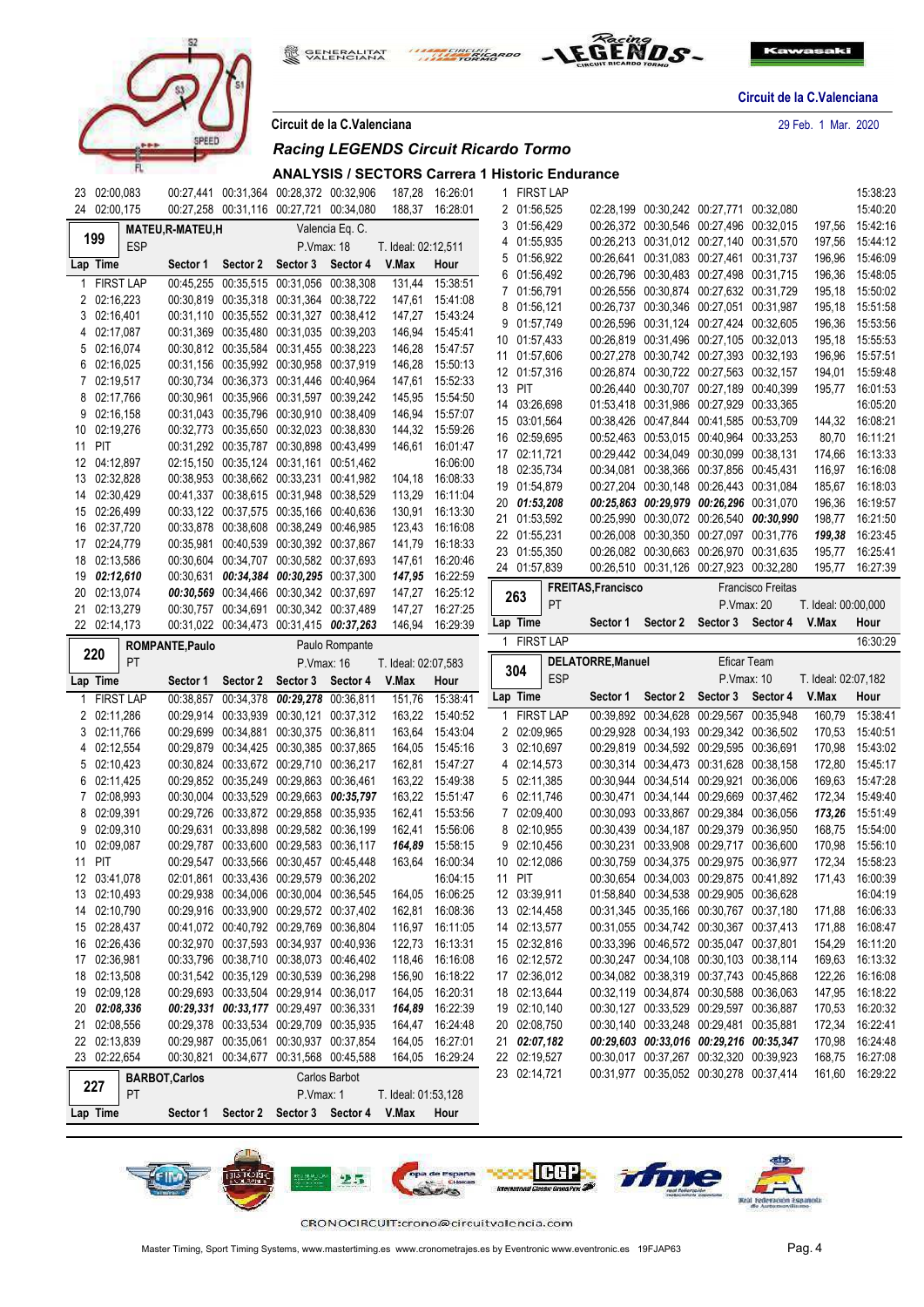





**Circuit de la C.Valenciana** 29 Feb. 1 Mar. 2020

|  |  |  |  | Circuit de la C.Valenciana |  |
|--|--|--|--|----------------------------|--|
|  |  |  |  |                            |  |

戀

# *Racing LEGENDS Circuit Ricardo Tormo*

### **ANALYSIS / SECTORS Carrera 1 Historic Endurance**

|              | 23 02:00,083                    |                        |                                                                                    | 00:27,441 00:31,364 00:28,372 00:32,906 |                 | 187,28              | 16:26:01                    | 1.     | <b>FIRST LAP</b>         |            |                    |          |                                                                                    |                          |                     | 15:38:23             |
|--------------|---------------------------------|------------------------|------------------------------------------------------------------------------------|-----------------------------------------|-----------------|---------------------|-----------------------------|--------|--------------------------|------------|--------------------|----------|------------------------------------------------------------------------------------|--------------------------|---------------------|----------------------|
|              | 24 02:00,175                    |                        | 00:27,258 00:31,116 00:27,721 00:34,080                                            |                                         |                 |                     | 188,37 16:28:01             |        | 2 01:56,525              |            |                    |          | 02:28,199 00:30,242 00:27,771 00:32,080                                            |                          |                     | 15:40:20             |
| 199          |                                 | <b>MATEU,R-MATEU,H</b> |                                                                                    |                                         | Valencia Eq. C. |                     |                             |        | 3 01:56,429<br>01:55,935 |            |                    |          | 00:26,372 00:30,546 00:27,496 00:32,015<br>00:26,213 00:31,012 00:27,140 00:31,570 |                          | 197,56              | 15:42:16             |
|              | <b>ESP</b>                      |                        |                                                                                    | P.Vmax: 18                              |                 | T. Ideal: 02:12,511 |                             | 4<br>5 | 01:56,922                |            |                    |          | 00:26,641 00:31,083 00:27,461 00:31,737                                            |                          | 197,56<br>196,96    | 15:44:12<br>15:46:09 |
|              | Lap Time                        | Sector 1               | Sector 2                                                                           | Sector 3                                | Sector 4        | V.Max               | Hour                        | 6      | 01:56,492                |            |                    |          | 00:26,796 00:30,483 00:27,498 00:31,715                                            |                          | 196,36              | 15:48:05             |
| $\mathbf{1}$ | <b>FIRST LAP</b>                |                        | 00:45,255 00:35,515 00:31,056 00:38,308                                            |                                         |                 | 131,44              | 15:38:51                    | 7      | 01:56,791                |            |                    |          | 00:26,556 00:30,874 00:27,632 00:31,729                                            |                          | 195,18              | 15:50:02             |
|              | 2 02:16,223                     |                        | 00:30,819 00:35,318 00:31,364 00:38,722                                            |                                         |                 |                     | 147,61 15:41:08             | 8      | 01:56,121                |            |                    |          | 00:26,737 00:30,346 00:27,051 00:31,987                                            |                          | 195,18              | 15:51:58             |
|              | 3 02:16,401                     |                        | 00:31,110 00:35,552 00:31,327 00:38,412                                            |                                         |                 |                     | 147,27 15:43:24             |        | 9 01:57,749              |            |                    |          | 00:26,596 00:31,124 00:27,424 00:32,605                                            |                          | 196,36              | 15:53:56             |
|              | 4 02:17,087                     |                        | 00:31,369 00:35,480 00:31,035 00:39,203                                            |                                         |                 | 146,94              | 15:45:41                    |        | 10 01:57,433             |            |                    |          | 00:26,819 00:31,496 00:27,105 00:32,013                                            |                          | 195,18              | 15:55:53             |
|              | 5 02:16,074                     |                        | 00:30,812 00:35,584 00:31,455 00:38,223                                            |                                         |                 | 146,28              | 15:47:57                    |        | 11 01:57,606             |            |                    |          | 00:27,278 00:30,742 00:27,393 00:32,193                                            |                          | 196,96              | 15:57:51             |
|              | 6 02:16,025                     |                        | 00:31,156 00:35,992 00:30,958 00:37,919                                            |                                         |                 | 146,28              | 15:50:13                    |        | 12 01:57,316             |            |                    |          | 00:26,874 00:30,722 00:27,563 00:32,157                                            |                          | 194,01              | 15:59:48             |
|              | 7 02:19,517                     |                        | 00:30,734 00:36,373 00:31,446 00:40,964                                            |                                         |                 | 147,61              | 15:52:33                    |        | 13 PIT                   |            |                    |          | 00:26,440 00:30,707 00:27,189 00:40,399                                            |                          | 195,77              | 16:01:53             |
|              | 8 02:17,766                     |                        | 00:30,961 00:35,966 00:31,597 00:39,242                                            |                                         |                 | 145,95              | 15:54:50                    |        | 14 03:26,698             |            |                    |          | 01:53,418 00:31,986 00:27,929 00:33,365                                            |                          |                     | 16:05:20             |
|              | $9 \quad 02:16,158$             |                        | 00:31.043 00:35.796 00:30.910 00:38.409                                            |                                         |                 | 146,94              | 15:57:07                    |        | 15 03:01,564             |            |                    |          | 00:38,426 00:47,844 00:41,585 00:53,709                                            |                          |                     | 144,32 16:08:21      |
|              | 10 02:19,276                    |                        | 00:32,773 00:35,650 00:32,023 00:38,830                                            |                                         |                 |                     | 144,32 15:59:26             |        | 16 02:59,695             |            |                    |          | 00:52,463 00:53,015 00:40,964 00:33,253                                            |                          | 80,70               | 16:11:21             |
| 11           | PIT                             |                        | 00:31,292 00:35,787 00:30,898 00:43,499                                            |                                         |                 | 146,61              | 16:01:47                    |        | 17 02:11,721             |            |                    |          | 00:29,442 00:34,049 00:30,099 00:38,131                                            |                          | 174,66              | 16:13:33             |
|              | 12 04:12,897                    |                        | 02:15,150 00:35,124 00:31,161 00:51,462                                            |                                         |                 |                     | 16:06:00                    |        | 18 02:35,734             |            |                    |          | 00:34,081 00:38,366 00:37,856 00:45,431                                            |                          | 116,97              | 16:16:08             |
|              | 13 02:32,828                    |                        | 00:38,953 00:38,662 00:33,231 00:41,982                                            |                                         |                 | 104,18              | 16:08:33                    |        | 19 01:54,879             |            |                    |          | 00:27,204 00:30,148 00:26,443 00:31,084                                            |                          | 185,67              | 16:18:03             |
|              | 14 02:30,429                    |                        | 00:41,337 00:38,615 00:31,948 00:38,529                                            |                                         |                 | 113,29              | 16:11:04                    |        | 20 01:53,208             |            |                    |          | 00:25,863 00:29,979 00:26,296 00:31,070                                            |                          | 196,36              | 16:19:57             |
|              | 15 02:26,499                    |                        | 00:33,122 00:37,575 00:35,166 00:40,636                                            |                                         |                 | 130,91              | 16:13:30                    |        | 21 01:53,592             |            |                    |          | 00:25,990 00:30,072 00:26,540 00:30,990                                            |                          | 198,77              | 16:21:50             |
|              | 16 02:37,720                    |                        | 00:33,878 00:38,608 00:38,249 00:46,985                                            |                                         |                 | 123,43              | 16:16:08                    |        | 22 01:55,231             |            |                    |          | 00:26,008 00:30,350 00:27,097 00:31,776                                            |                          | 199,38              | 16:23:45             |
|              | 17 02:24,779<br>18 02:13,586    |                        | 00:35,981 00:40,539 00:30,392 00:37,867<br>00:30,604 00:34,707 00:30,582 00:37,693 |                                         |                 | 141,79              | 16:18:33                    |        | 23 01:55,350             |            |                    |          | 00:26,082 00:30,663 00:26,970 00:31,635                                            |                          | 195,77              | 16:25:41             |
|              | 19 02:12,610                    |                        | 00:30,631 00:34,384 00:30,295 00:37,300                                            |                                         |                 | 147,61              | 16:20:46<br>16:22:59        |        | 24 01:57,839             |            |                    |          | 00:26,510 00:31,126 00:27,923 00:32,280                                            |                          | 195,77              | 16:27:39             |
|              | 20 02:13,074                    |                        | 00:30,569 00:34,466 00:30,342 00:37,697                                            |                                         |                 | 147,95              | 147,27 16:25:12             |        |                          |            | FREITAS, Francisco |          |                                                                                    | <b>Francisco Freitas</b> |                     |                      |
|              | 21 02:13,279                    |                        | 00:30,757 00:34,691 00:30,342 00:37,489                                            |                                         |                 | 147,27              | 16:27:25                    |        | 263                      | PT         |                    |          | P.Vmax: 20                                                                         |                          | T. Ideal: 00:00,000 |                      |
|              | 22 02:14,173                    |                        | 00:31,022 00:34,473 00:31,415 00:37,263                                            |                                         |                 | 146,94              | 16:29:39                    |        | Lap Time                 |            | Sector 1           | Sector 2 | Sector 3 Sector 4                                                                  |                          | V.Max               | Hour                 |
|              |                                 | ROMPANTE, Paulo        |                                                                                    |                                         | Paulo Rompante  |                     |                             |        | 1 FIRST LAP              |            |                    |          |                                                                                    |                          |                     | 16:30:29             |
| 220          |                                 |                        |                                                                                    |                                         |                 |                     |                             |        |                          |            |                    |          |                                                                                    |                          |                     |                      |
|              |                                 |                        |                                                                                    |                                         |                 |                     |                             |        |                          |            |                    |          | Eficar Team                                                                        |                          |                     |                      |
|              | PT                              |                        |                                                                                    |                                         | P.Vmax: 16      | T. Ideal: 02:07,583 |                             |        | 304                      | <b>ESP</b> | DELATORRE, Manuel  |          | P.Vmax: 10                                                                         |                          | T. Ideal: 02:07,182 |                      |
|              | Lap Time                        | Sector 1               | Sector 2                                                                           | Sector 3                                | Sector 4        | V.Max               | Hour                        |        | Lap Time                 |            | Sector 1           | Sector 2 | Sector 3 Sector 4                                                                  |                          | V.Max               | Hour                 |
|              | <b>FIRST LAP</b><br>2 02:11,286 |                        | 00:38,857 00:34,378 00:29,278 00:36,811<br>00:29,914 00:33,939 00:30,121 00:37,312 |                                         |                 | 151,76              | 15:38:41<br>163,22 15:40:52 |        | 1 FIRST LAP              |            |                    |          | 00:39,892 00:34,628 00:29,567 00:35,948                                            |                          | 160,79              | 15:38:41             |
|              | 3 02:11,766                     |                        | 00:29,699 00:34,881 00:30,375 00:36,811                                            |                                         |                 | 163,64              | 15:43:04                    |        | 2 02:09,965              |            |                    |          | 00:29,928 00:34,193 00:29,342 00:36,502                                            |                          | 170,53              | 15:40:51             |
|              | 4 02:12,554                     |                        | 00:29,879 00:34,425 00:30,385 00:37,865                                            |                                         |                 | 164,05              | 15:45:16                    |        | 3 02:10,697              |            |                    |          | 00:29,819 00:34,592 00:29,595 00:36,691                                            |                          | 170,98              | 15:43:02             |
|              | 5 02:10,423                     |                        | 00:30,824 00:33,672 00:29,710 00:36,217                                            |                                         |                 |                     | 162,81 15:47:27             |        | 4 02:14,573              |            |                    |          | 00:30,314 00:34,473 00:31,628 00:38,158                                            |                          | 172,80              | 15:45:17             |
|              | 6 02:11,425                     |                        | 00:29,852 00:35,249 00:29,863 00:36,461                                            |                                         |                 | 163,22              | 15:49:38                    |        | 5 02:11,385              |            |                    |          | 00:30,944 00:34,514 00:29,921 00:36,006                                            |                          | 169,63              | 15:47:28             |
|              | 7 02:08,993                     |                        | 00:30.004 00:33.529 00:29.663 00:35.797                                            |                                         |                 |                     | 163,22 15:51:47             |        | 6 02:11,746              |            |                    |          | 00:30.471 00:34.144 00:29.669 00:37.462                                            |                          | 172,34              | 15:49:40             |
|              | 8 02:09,391                     |                        | 00:29,726 00:33,872 00:29,858 00:35,935                                            |                                         |                 | 162,41              | 15:53:56                    |        | 7 02:09,400              |            |                    |          | 00:30,093 00:33,867 00:29,384 00:36,056                                            |                          | 173,26              | 15:51:49             |
| 9            | 02:09,310                       |                        | 00:29,631 00:33,898 00:29,582 00:36,199                                            |                                         |                 |                     | 162,41 15:56:06             |        | 8 02:10,955              |            |                    |          | 00:30,439 00:34,187 00:29,379 00:36,950                                            |                          | 168,75              | 15:54:00             |
| 10           | 02:09,087                       |                        | 00:29.787 00:33.600 00:29.583 00:36.117                                            |                                         |                 | 164,89              | 15:58:15                    |        | 9 02:10,456              |            |                    |          | 00:30,231 00:33,908 00:29,717 00:36,600                                            |                          | 170,98              | 15:56:10             |
| 11 PIT       |                                 |                        | 00:29,547 00:33,566 00:30,457 00:45,448                                            |                                         |                 | 163,64              | 16:00:34                    |        | 10 02:12,086             |            |                    |          | 00:30,759 00:34,375 00:29,975 00:36,977                                            |                          | 172,34              | 15:58:23             |
|              | 12 03:41,078                    |                        | 02:01.861 00:33.436 00:29.579 00:36.202                                            |                                         |                 |                     | 16:04:15                    |        | 11 PIT                   |            |                    |          | 00:30.654 00:34.003 00:29.875 00:41.892                                            |                          | 171,43              | 16:00:39             |
|              | 13 02:10,493                    |                        | 00:29,938 00:34,006 00:30,004 00:36,545                                            |                                         |                 |                     | 164,05 16:06:25             |        | 12 03:39,911             |            |                    |          | 01:58,840 00:34,538 00:29,905 00:36,628                                            |                          |                     | 16:04:19             |
|              | 14 02:10,790                    |                        | 00:29,916 00:33,900 00:29,572 00:37,402                                            |                                         |                 |                     | 162,81 16:08:36             |        | 13 02:14,458             |            |                    |          | 00:31,345 00:35,166 00:30,767 00:37,180                                            |                          |                     | 171,88 16:06:33      |
|              | 15 02:28,437                    |                        | 00:41,072 00:40,792 00:29,769 00:36,804                                            |                                         |                 |                     | 116,97 16:11:05             |        | 14 02:13,577             |            |                    |          | 00:31,055 00:34,742 00:30,367 00:37,413                                            |                          |                     | 171,88 16:08:47      |
|              | 16 02:26,436                    |                        | 00:32,970 00:37,593 00:34,937 00:40,936                                            |                                         |                 | 122,73              | 16:13:31                    |        | 15 02:32,816             |            |                    |          | 00:33,396 00:46,572 00:35,047 00:37,801                                            |                          |                     | 154,29 16:11:20      |
|              | 17 02:36,981                    |                        | 00:33,796 00:38,710 00:38,073 00:46,402                                            |                                         |                 | 118,46              | 16:16:08                    |        | 16 02:12,572             |            |                    |          | 00:30,247 00:34,108 00:30,103 00:38,114                                            |                          |                     | 169,63 16:13:32      |
|              | 18 02:13,508                    |                        | 00:31,542 00:35,129 00:30,539 00:36,298                                            |                                         |                 | 156,90              | 16:18:22                    |        | 17 02:36,012             |            |                    |          | 00:34,082 00:38,319 00:37,743 00:45,868                                            |                          |                     | 122,26 16:16:08      |
|              | 19 02:09,128                    |                        | 00:29,693 00:33,504 00:29,914 00:36,017                                            |                                         |                 | 164,05              | 16:20:31                    |        | 18 02:13,644             |            |                    |          | 00:32,119 00:34,874 00:30,588 00:36,063                                            |                          |                     | 147,95 16:18:22      |
|              | 20 02:08,336                    |                        | 00:29,331 00:33,177 00:29,497 00:36,331                                            |                                         |                 |                     | 164,89 16:22:39             |        | 19 02:10,140             |            |                    |          | 00:30,127 00:33,529 00:29,597 00:36,887                                            |                          |                     | 170,53 16:20:32      |
|              | 21 02:08,556                    |                        | 00:29,378 00:33,534 00:29,709 00:35,935                                            |                                         |                 |                     | 164,47 16:24:48             |        | 20 02:08,750             |            |                    |          | 00:30,140 00:33,248 00:29,481 00:35,881                                            |                          |                     | 172,34 16:22:41      |
|              | 22 02:13,839                    |                        | 00:29,987 00:35,061 00:30,937 00:37,854                                            |                                         |                 | 164,05              | 16:27:01                    |        | 21 02:07,182             |            |                    |          | 00:29,603 00:33,016 00:29,216 00:35,347                                            |                          |                     | 170,98 16:24:48      |
|              | 23 02:22,654                    |                        | 00:30,821 00:34,677 00:31,568 00:45,588                                            |                                         |                 |                     | 164,05 16:29:24             |        | 22 02:19,527             |            |                    |          | 00:30.017 00:37.267 00:32.320 00:39.923                                            |                          |                     | 168,75 16:27:08      |
|              |                                 | <b>BARBOT, Carlos</b>  |                                                                                    |                                         | Carlos Barbot   |                     |                             |        | 23 02:14,721             |            |                    |          | 00:31,977 00:35,052 00:30,278 00:37,414                                            |                          |                     | 161,60 16:29:22      |
| 227          | <b>PT</b><br>Lap Time           |                        | Sector 1 Sector 2 Sector 3 Sector 4 V.Max                                          | P.Vmax: 1                               |                 | T. Ideal: 01:53,128 | Hour                        |        |                          |            |                    |          |                                                                                    |                          |                     |                      |

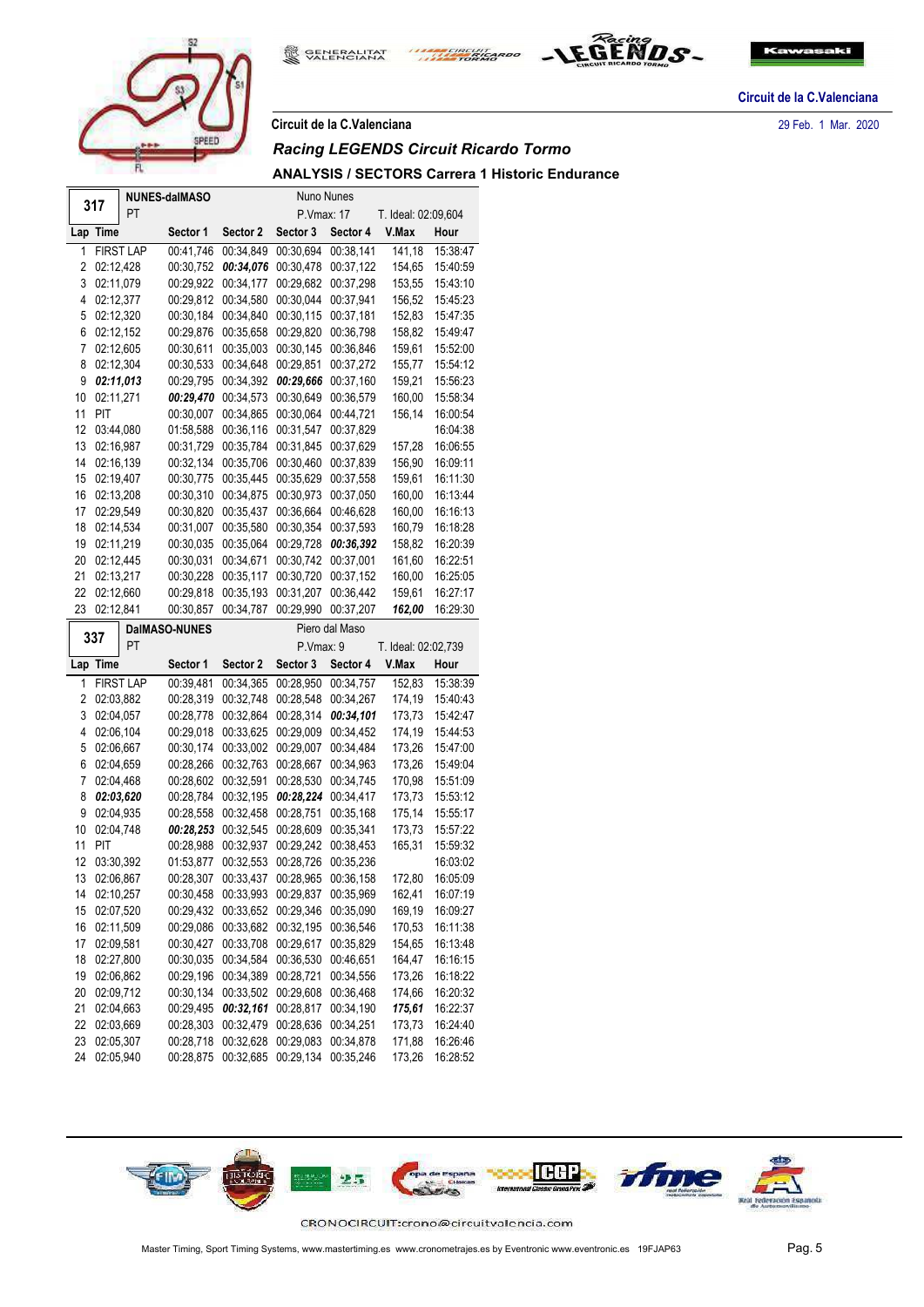

**Circuit de la C.Valenciana** 29 Feb. 1 Mar. 2020

**GENERALITAT**<br>VALENCIANA

愈

# *Racing LEGENDS Circuit Ricardo Tormo*

# **ANALYSIS / SECTORS Carrera 1 Historic Endurance**

THE CIRCUIT ARDO

|                |                             |                  | <b>NUNES-daIMASO</b>   |                        | Nuno Nunes             |                        |                     |                      |  |  |  |  |  |
|----------------|-----------------------------|------------------|------------------------|------------------------|------------------------|------------------------|---------------------|----------------------|--|--|--|--|--|
|                | 317                         | PT               |                        |                        | P.Vmax: 17             |                        | T. Ideal: 02:09,604 |                      |  |  |  |  |  |
|                | Lap Time                    |                  | Sector 1               | Sector 2               | Sector 3               | Sector 4               | V.Max               | Hour                 |  |  |  |  |  |
| 1              |                             | <b>FIRST LAP</b> | 00:41,746              | 00:34,849              | 00:30,694              | 00:38,141              | 141,18              | 15:38:47             |  |  |  |  |  |
| 2              | 02:12,428                   |                  | 00:30,752              | 00:34,076              | 00:30,478              | 00:37,122              | 154,65              | 15:40:59             |  |  |  |  |  |
| 3              | 02:11,079                   |                  | 00:29,922              | 00:34,177              | 00:29,682              | 00:37,298              | 153,55              | 15:43:10             |  |  |  |  |  |
| 4              | 02:12,377                   |                  | 00:29,812              | 00:34,580              | 00:30,044              | 00:37,941              | 156,52              | 15:45:23             |  |  |  |  |  |
| 5              | 02:12,320                   |                  | 00:30,184              | 00:34,840              | 00:30,115              | 00:37,181              | 152,83              | 15:47:35             |  |  |  |  |  |
| 6              | 02:12,152                   |                  | 00:29,876              | 00:35,658              | 00:29,820              | 00:36,798              | 158,82              | 15:49:47             |  |  |  |  |  |
| 7              | 02:12,605                   |                  | 00:30,611              | 00:35,003              | 00:30,145              | 00:36,846              | 159,61              | 15:52:00             |  |  |  |  |  |
| 8              | 02:12,304                   |                  | 00:30,533              | 00:34,648              | 00:29,851              | 00:37,272              | 155,77              | 15:54:12             |  |  |  |  |  |
| 9              | 02:11,013                   |                  | 00:29,795              | 00:34,392              | 00:29,666              | 00:37,160              | 159,21              | 15:56:23             |  |  |  |  |  |
| 10             | 02:11.271                   |                  | 00:29,470              | 00:34,573              | 00:30,649              | 00:36,579              | 160,00              | 15:58:34             |  |  |  |  |  |
| 11             | PIT                         |                  | 00:30,007              | 00:34,865              | 00:30,064              | 00:44,721              | 156,14              | 16:00:54             |  |  |  |  |  |
| 12             | 03:44,080                   |                  | 01:58,588              | 00:36,116              | 00:31,547              | 00:37,829              |                     | 16:04:38             |  |  |  |  |  |
| 13             | 02:16,987                   |                  | 00:31,729              | 00:35,784              | 00:31,845              | 00:37,629              | 157,28              | 16:06:55             |  |  |  |  |  |
| 14             | 02:16,139                   |                  | 00:32,134              | 00:35,706              | 00:30,460              | 00:37,839              | 156,90              | 16:09:11             |  |  |  |  |  |
| 15             | 02:19,407                   |                  | 00:30,775              | 00:35,445              | 00:35,629              | 00:37,558              | 159,61              | 16:11:30             |  |  |  |  |  |
| 16             | 02:13,208                   |                  | 00:30,310              | 00:34,875              | 00:30,973              | 00:37,050              | 160,00              | 16:13:44             |  |  |  |  |  |
| 17             | 02:29,549                   |                  | 00:30,820              | 00:35,437              | 00:36,664              | 00:46,628              | 160,00              | 16:16:13             |  |  |  |  |  |
| 18             | 02:14,534                   |                  | 00:31,007              | 00:35,580              | 00:30,354              | 00:37,593              | 160,79              | 16:18:28             |  |  |  |  |  |
| 19             | 02:11,219                   |                  | 00:30,035              | 00:35,064              | 00:29,728              | 00:36,392              | 158,82              | 16:20:39             |  |  |  |  |  |
| 20             | 02:12,445                   |                  | 00:30,031              | 00:34,671              | 00:30,742              | 00:37,001              | 161,60              | 16:22:51             |  |  |  |  |  |
| 21             | 02:13,217                   |                  | 00:30,228              | 00:35,117              | 00:30,720              | 00:37,152              | 160,00              | 16:25:05             |  |  |  |  |  |
| 22             | 02:12,660                   |                  | 00:29,818              | 00:35,193              | 00:31,207              | 00:36,442              | 159,61              | 16:27:17             |  |  |  |  |  |
| 23             | 02:12,841                   |                  | 00:30,857              | 00:34,787              | 00:29,990              | 00:37,207              | 162,00              | 16:29:30             |  |  |  |  |  |
|                |                             |                  |                        |                        |                        |                        |                     |                      |  |  |  |  |  |
|                | <b>DaIMASO-NUNES</b><br>337 |                  |                        |                        |                        |                        |                     |                      |  |  |  |  |  |
|                |                             | PT               |                        |                        |                        | Piero dal Maso         |                     |                      |  |  |  |  |  |
|                |                             |                  |                        |                        | P.Vmax: 9              |                        | T. Ideal: 02:02,739 |                      |  |  |  |  |  |
|                | Lap Time                    |                  | Sector 1               | Sector 2               | Sector 3               | Sector 4               | V.Max               | Hour                 |  |  |  |  |  |
| 1              |                             | <b>FIRST LAP</b> | 00:39,481              | 00:34,365              | 00:28,950              | 00:34,757              | 152,83              | 15:38:39             |  |  |  |  |  |
| 2              | 02:03,882                   |                  | 00:28,319              | 00:32,748              | 00:28,548              | 00:34,267              | 174,19              | 15:40:43             |  |  |  |  |  |
| 3              | 02:04,057                   |                  | 00:28,778              | 00:32,864              | 00:28,314              | 00:34,101              | 173,73              | 15:42:47             |  |  |  |  |  |
| 4              | 02:06,104                   |                  | 00:29,018              | 00:33,625              | 00:29,009              | 00:34,452              | 174,19              | 15:44:53             |  |  |  |  |  |
| 5              | 02:06,667                   |                  | 00:30,174              | 00:33,002              | 00:29,007              | 00:34,484              | 173,26              | 15:47:00             |  |  |  |  |  |
| 6              | 02:04,659                   |                  | 00:28,266              | 00:32,763              | 00:28,667              | 00:34,963              | 173,26              | 15:49:04             |  |  |  |  |  |
| $\overline{7}$ | 02:04,468                   |                  | 00:28,602              | 00:32,591              | 00:28,530              | 00:34,745              | 170,98              | 15:51:09             |  |  |  |  |  |
| 8              | 02:03,620                   |                  | 00:28,784              | 00:32,195              | 00:28,224              | 00:34,417              | 173,73              | 15:53:12             |  |  |  |  |  |
| 9              | 02:04,935                   |                  | 00:28,558              | 00:32,458              | 00:28,751              | 00:35,168              | 175,14              | 15:55:17             |  |  |  |  |  |
| 10             | 02:04,748                   |                  | 00:28,253              | 00:32,545              | 00:28,609              | 00:35,341              | 173,73              | 15:57:22             |  |  |  |  |  |
| 11             | PIT                         |                  | 00:28,988              | 00:32,937              | 00:29,242              | 00:38,453              | 165,31              | 15:59:32             |  |  |  |  |  |
| 12             | 03:30,392                   |                  | 01:53,877              | 00:32,553              | 00:28,726              | 00:35,236              |                     | 16:03:02             |  |  |  |  |  |
| 13             | 02:06,867                   |                  | 00:28,307              | 00:33,437              | 00:28,965              | 00:36,158              | 172,80              | 16:05:09             |  |  |  |  |  |
| 14             | 02:10,257                   |                  | 00:30,458              | 00:33,993              | 00:29,837              | 00:35,969              | 162,41              | 16:07:19             |  |  |  |  |  |
| 15             | 02:07,520                   |                  | 00:29,432              | 00:33,652              | 00:29,346              | 00:35,090              | 169,19              | 16:09:27             |  |  |  |  |  |
| 16             | 02:11,509                   |                  | 00:29,086              | 00:33,682              | 00:32,195              | 00:36,546              | 170,53              | 16:11:38             |  |  |  |  |  |
| 17             | 02:09,581                   |                  | 00:30,427              | 00:33,708              | 00:29,617              | 00:35,829<br>00:46,651 | 154,65              | 16:13:48             |  |  |  |  |  |
| 18             | 02:27,800                   |                  | 00:30,035              | 00:34,584              | 00:36,530              |                        | 164,47              | 16:16:15             |  |  |  |  |  |
| 19             | 02:06,862                   |                  | 00:29,196              | 00:34,389              | 00:28,721              | 00:34,556              | 173,26              | 16:18:22             |  |  |  |  |  |
| 20             | 02:09,712                   |                  | 00:30,134              | 00:33,502              | 00:29,608              | 00:36,468              | 174,66              | 16:20:32             |  |  |  |  |  |
| 21             | 02:04,663                   |                  | 00:29,495              | 00:32,161              | 00:28,817              | 00:34,190              | 175,61              | 16:22:37             |  |  |  |  |  |
| 22<br>23       | 02:03,669<br>02:05,307      |                  | 00:28,303<br>00:28,718 | 00:32,479<br>00:32,628 | 00:28,636<br>00:29,083 | 00:34,251<br>00:34,878 | 173,73<br>171,88    | 16:24:40<br>16:26:46 |  |  |  |  |  |





EGEND.S.

**Circuit de la C.Valenciana**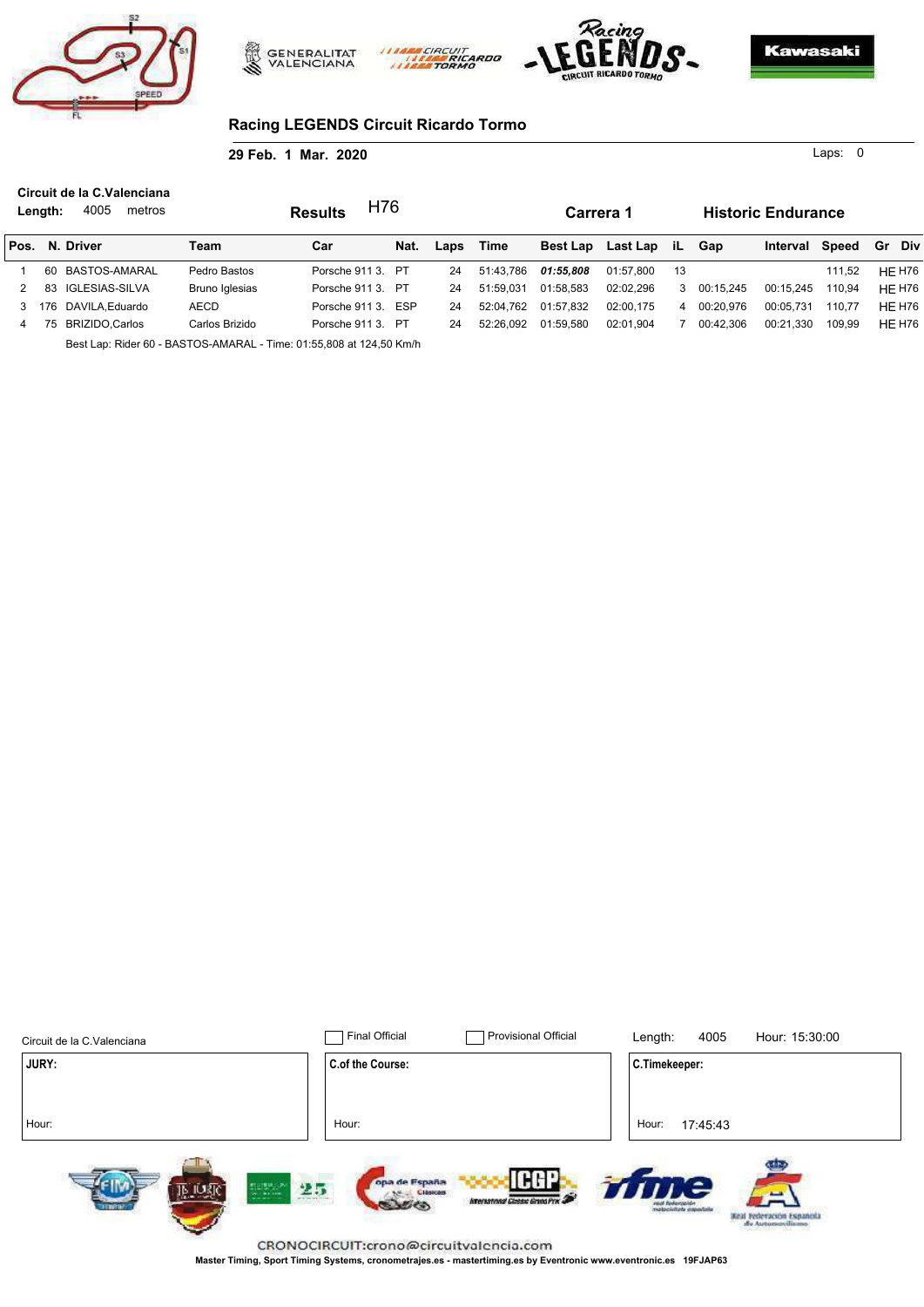





0 Laps:

## **Racing LEGENDS Circuit Ricardo Tormo**

**29 Feb. 1 Mar. 2020**

**Carrera 1 Historic Endurance Results N. Driver Length:** 4005 metros Team **Car Nat.** Pos. N. Driver Team Car Nat. Laps Time Best Lap Last Lap iL Laps Time Best Lap Last Lap iL Gap Interval Speed Gr Div **Circuit de la C.Valenciana** 1 60 BASTOS-AMARAL Pedro Bastos Porsche 911 3. PT 24 51:43,786 *01:55,808* 01:57,800 13 111,52 HE H76 2 83 IGLESIAS-SILVA Bruno Iglesias Porsche 911 3. PT 24 51:59,031 01:58,583 02:02,296 3 00:15,245 00:15,245 110,94 HE H76 3 176 DAVILA,Eduardo AECD Porsche 911 3. ESP 24 52:04,762 01:57,832 02:00,175 4 00:20,976 00:05,731 110,77 HE H76 4 75 BRIZIDO,Carlos Carlos Brizido Porsche 911 3. PT 24 52:26,092 01:59,580 02:01,904 7 00:42,306 00:21,330 109,99 HE H76 H76

riprint

Best Lap: Rider 60 - BASTOS-AMARAL - Time: 01:55,808 at 124,50 Km/h

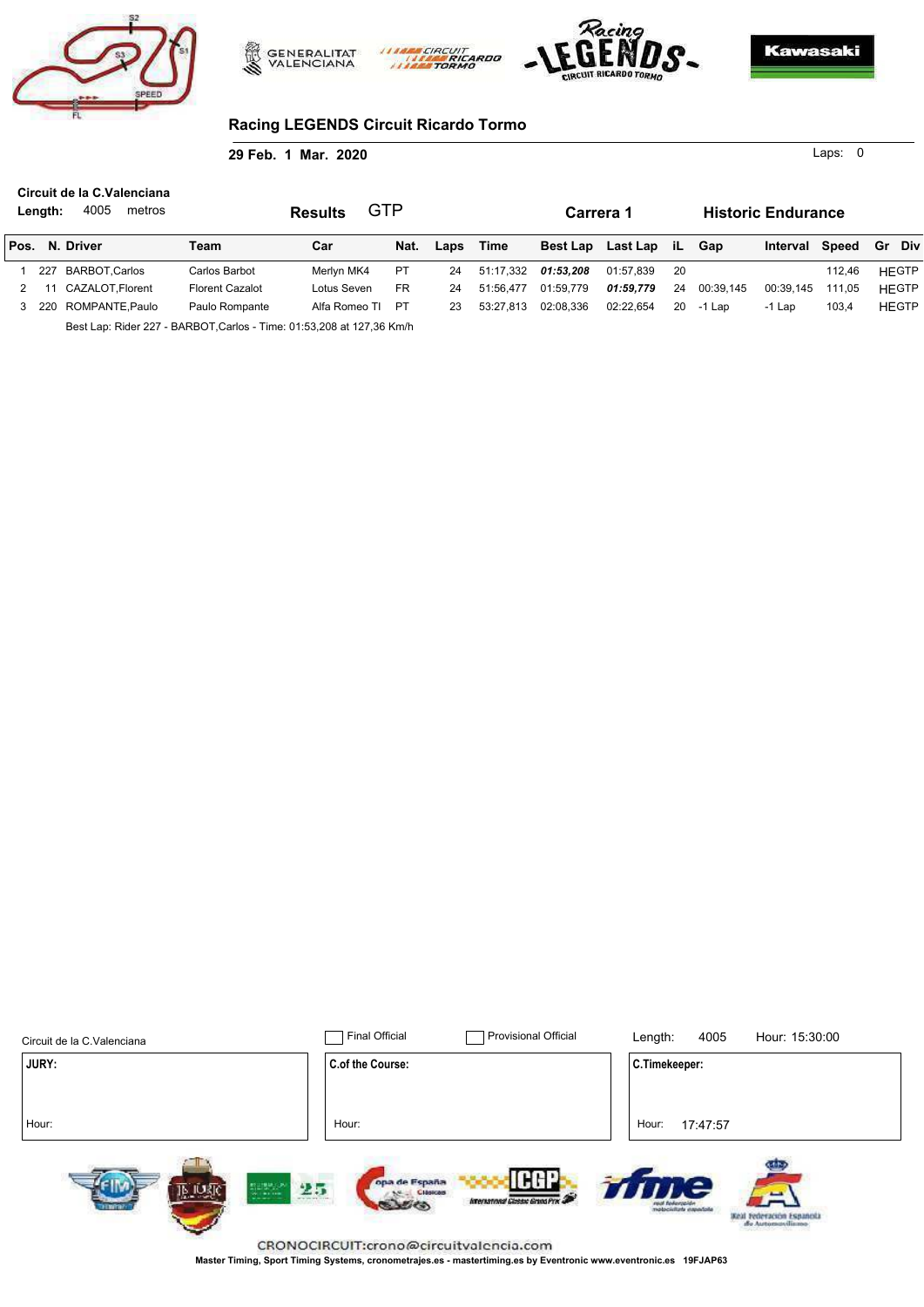





0 Laps:

# **Racing LEGENDS Circuit Ricardo Tormo**

**29 Feb. 1 Mar. 2020**

| Length: | Circuit de la C.Valenciana<br>4005<br>metros |                        | GTP<br><b>Results</b> |           |      |           | Carrera 1 |                      |      |           | <b>Historic Endurance</b> |        |              |
|---------|----------------------------------------------|------------------------|-----------------------|-----------|------|-----------|-----------|----------------------|------|-----------|---------------------------|--------|--------------|
|         | Pos. N. Driver                               | Team                   | Car                   | Nat.      | Laps | Time      |           | Best Lap Last Lap iL |      | Gap       | Interval Speed            |        | Gr Div       |
| 227     | BARBOT.Carlos                                | Carlos Barbot          | Merlvn MK4            | <b>PT</b> | 24   | 51:17.332 | 01:53.208 | 01:57.839            | - 20 |           |                           | 112.46 | <b>HEGTP</b> |
| 11      | CAZALOT.Florent                              | <b>Florent Cazalot</b> | Lotus Seven           | <b>FR</b> | 24   | 51:56.477 | 01:59.779 | 01:59.779            | 24   | 00:39.145 | 00:39.145                 | 111.05 | <b>HEGTP</b> |
|         | 3 220 ROMPANTE.Paulo                         | Paulo Rompante         | Alfa Romeo TI         | PT        | 23   | 53:27.813 | 02:08.336 | 02:22.654            | 20   | -1 Lap    | -1 Lap                    | 103,4  | <b>HEGTP</b> |
|         | -                                            | $\blacksquare$         |                       |           |      |           |           |                      |      |           |                           |        |              |

**CIRCUI** 

Best Lap: Rider 227 - BARBOT,Carlos - Time: 01:53,208 at 127,36 Km/h

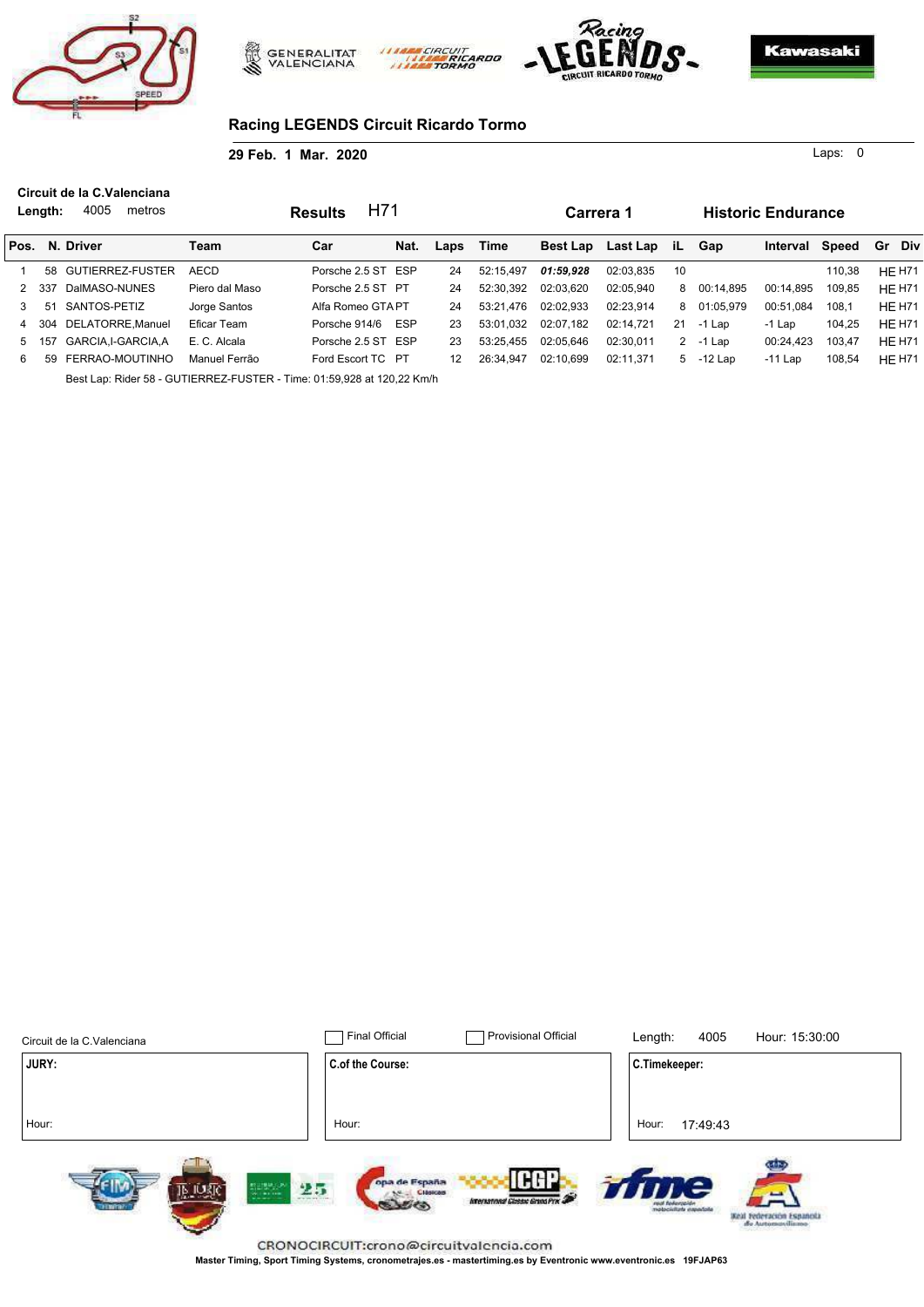





0 Laps:

## **Racing LEGENDS Circuit Ricardo Tormo**

**29 Feb. 1 Mar. 2020**

**Carrera 1 Historic Endurance Results N. Driver Length:** 4005 metros **Team Nat.** Pos. N. Driver Team Car Nat. Laps Time Best Lap Last Lap iL Car **Nat.** Laps Time Best Lap Last Lap iL Gap Interval Speed Gr Div **Circuit de la C.Valenciana** 1 58 GUTIERREZ-FUSTER AECD Porsche 2.5 ST ESP 24 52:15,497 *01:59,928* 02:03,835 10 110,38 HE H71 2 337 DalMASO-NUNES Piero dal Maso Porsche 2.5 ST PT 24 52:30,392 02:03,620 02:05,940 8 00:14,895 00:14,895 109,85 HE H71 3 51 SANTOS-PETIZ Jorge Santos Alfa Romeo GTAPT 24 53:21,476 02:02,933 02:23,914 8 01:05,979 00:51,084 108,1 HE H71 4 304 DELATORRE,Manuel Eficar Team Porsche 914/6 ESP 23 53:01,032 02:07,182 02:14,721 21 -1 Lap -1 Lap 104,25 HE H71 5 157 GARCIA,I-GARCIA,A E. C. Alcala Porsche 2.5 ST ESP 23 53:25,455 02:05,646 02:30,011 2 -1 Lap 00:24,423 103,47 HE H71 6 59 FERRAO-MOUTINHO Manuel Ferrão Ford Escort TC PT 12 26:34,947 02:10,699 02:11,371 5 -12 Lap -11 Lap 108,54 HE H71 H71

riprint

Best Lap: Rider 58 - GUTIERREZ-FUSTER - Time: 01:59,928 at 120,22 Km/h

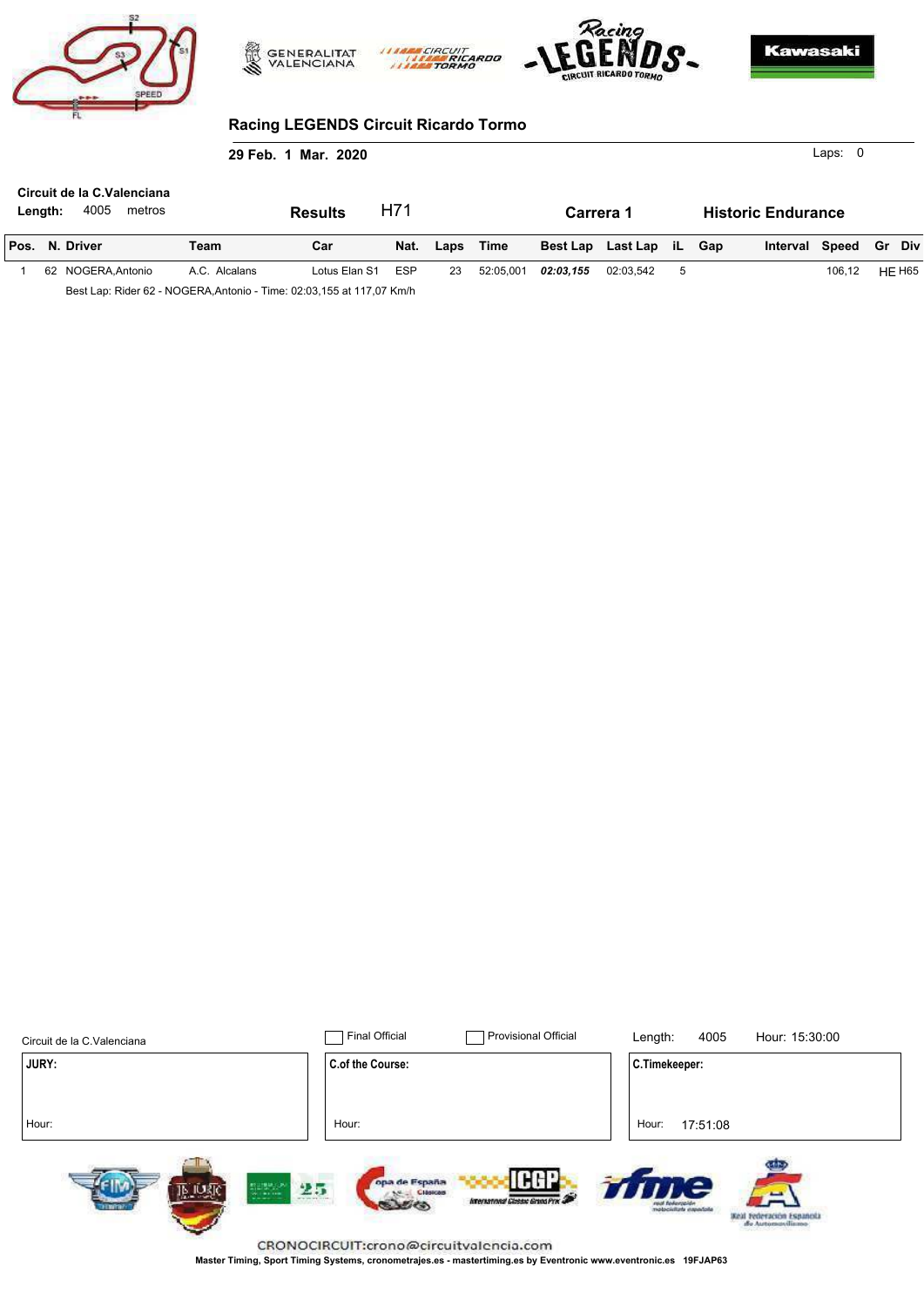





# **Racing LEGENDS Circuit Ricardo Tormo**

| 29 Feb. 1 Mar. 2020                                     |  |                    |               |                |            |      |           |           |                      |   |                           |                | Laps: $0$ |        |               |
|---------------------------------------------------------|--|--------------------|---------------|----------------|------------|------|-----------|-----------|----------------------|---|---------------------------|----------------|-----------|--------|---------------|
| Circuit de la C.Valenciana<br>4005<br>metros<br>Length: |  |                    |               | <b>Results</b> | H71        |      |           |           | Carrera 1            |   | <b>Historic Endurance</b> |                |           |        |               |
|                                                         |  | Pos. N. Driver     | Team          | Car            | Nat.       | Laps | Time      |           | Best Lap Last Lap iL |   | Gap                       | Interval Speed |           | Gr Div |               |
|                                                         |  | 62 NOGERA, Antonio | A.C. Alcalans | Lotus Elan S1  | <b>ESP</b> | 23   | 52:05,001 | 02:03,155 | 02:03,542            | 5 |                           |                | 106.12    |        | <b>HE H65</b> |

Best Lap: Rider 62 - NOGERA,Antonio - Time: 02:03,155 at 117,07 Km/h

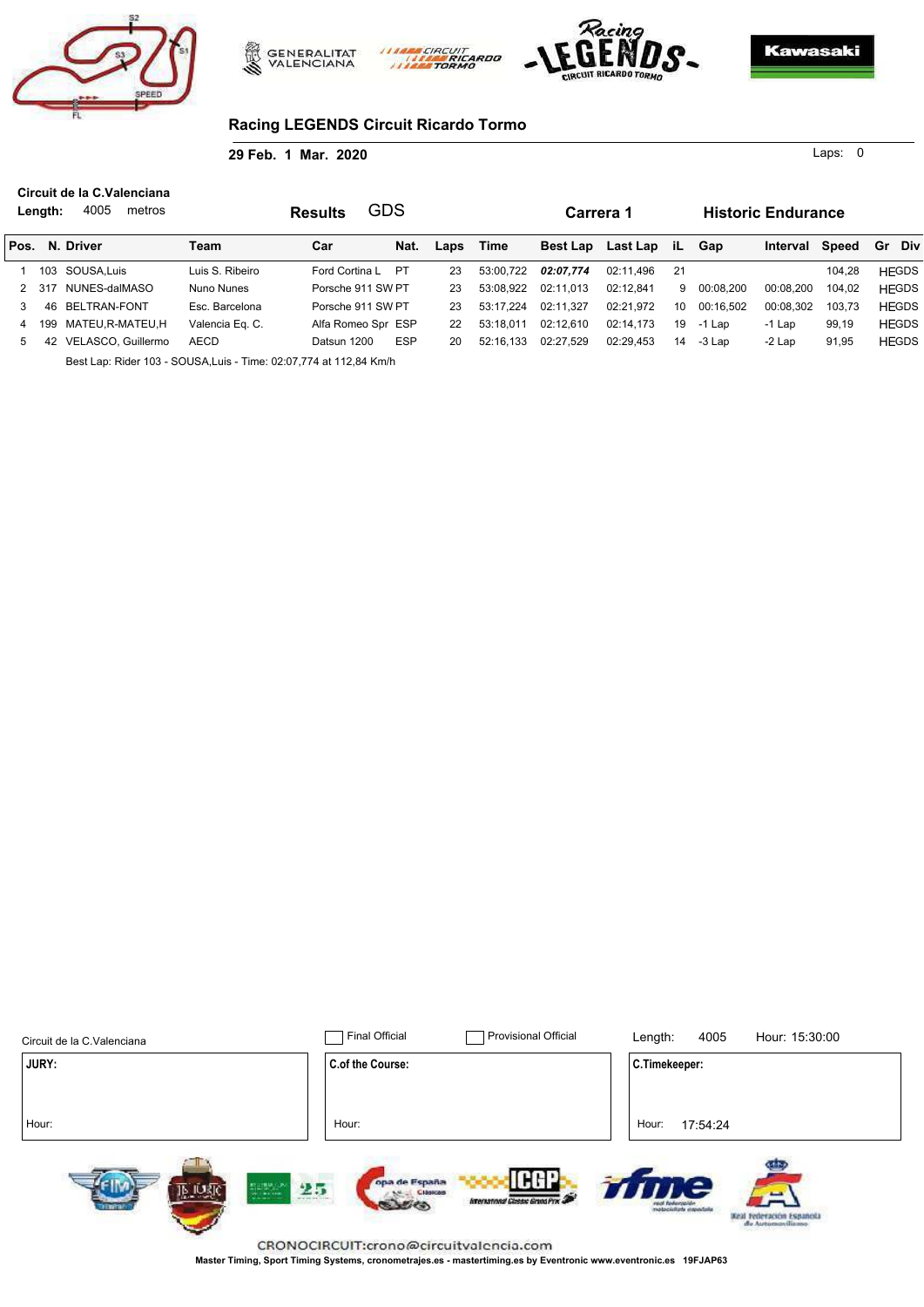





0 Laps:

## **Racing LEGENDS Circuit Ricardo Tormo**

**29 Feb. 1 Mar. 2020**

**Carrera 1 Historic Endurance Results N. Driver Pos. iL Length:** 4005 metros Team **Car Nat.** Laps Time Best Lap Last Lap iL Gap Interval Speed Gr Div **Circuit de la C.Valenciana** 1 103 SOUSA,Luis Luis S. Ribeiro Ford Cortina L PT 23 53:00,722 *02:07,774* 02:11,496 21 104,28 HEGDS 2 317 NUNES-dalMASO Nuno Nunes Porsche 911 SW PT 23 53:08,922 02:11,013 02:12,841 9 00:08,200 00:08,200 104,02 HEGDS 3 46 BELTRAN-FONT Esc. Barcelona Porsche 911 SW PT 23 53:17,224 02:11,327 02:21,972 10 00:16,502 00:08,302 103,73 HEGDS 4 199 MATEU,R-MATEU,H Valencia Eq. C. Alfa Romeo Spr ESP 22 53:18,011 02:12,610 02:14,173 19 -1 Lap -1 Lap 99,19 HEGDS 5 42 VELASCO, Guillermo AECD Datsun 1200 ESP 20 52:16,133 02:27,529 02:29,453 14 -3 Lap -2 Lap 91,95 HEGDS GDS

riprin

Best Lap: Rider 103 - SOUSA,Luis - Time: 02:07,774 at 112,84 Km/h

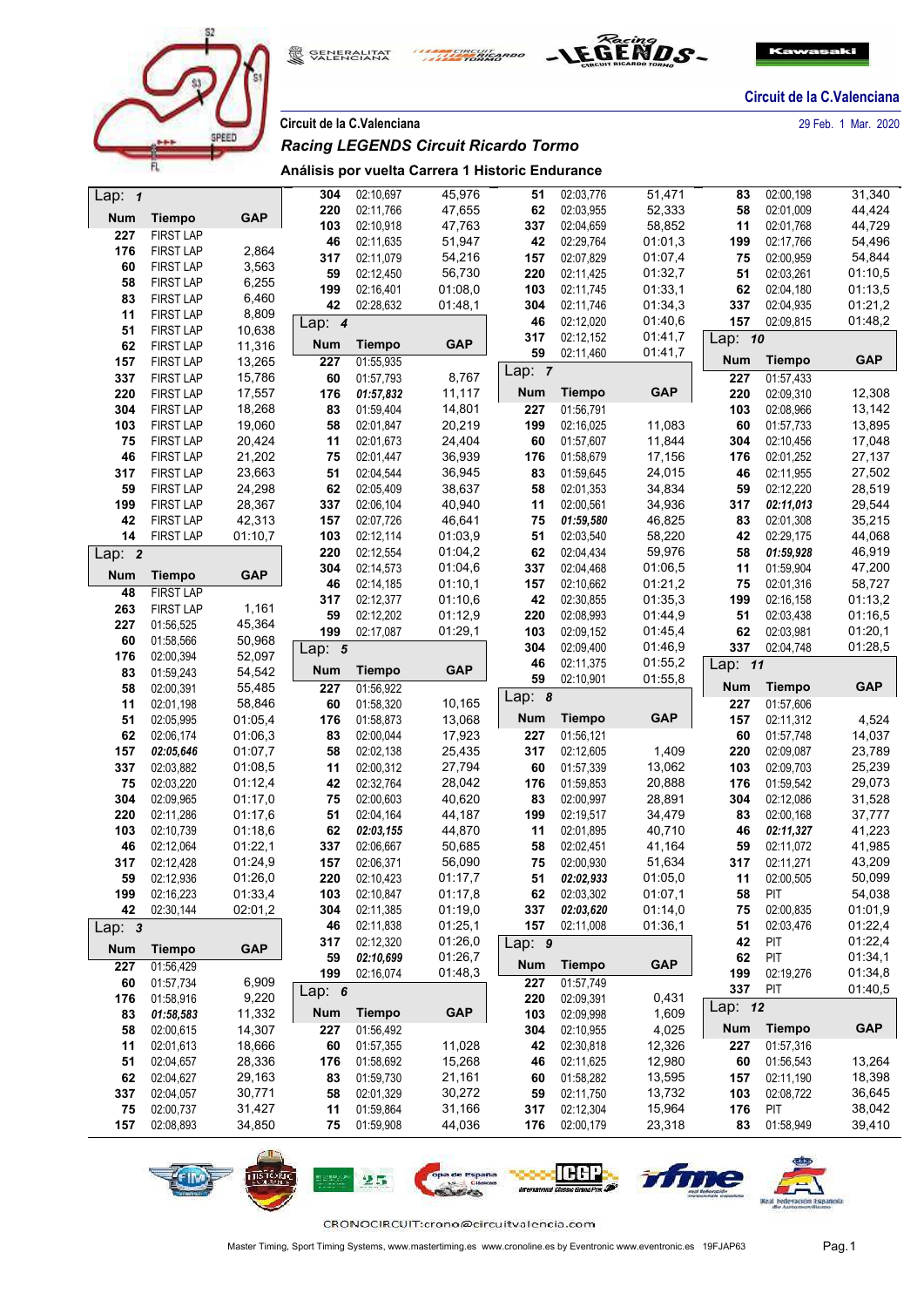





**Circuit de la C.Valenciana** 29 Feb. 1 Mar. 2020

## *Racing LEGENDS Circuit Ricardo Tormo*

## **Análisis por vuelta Carrera 1 Historic Endurance**

| Lap: $1$   |                  |                  | 304        | 02:10.697     | 45,976     | 51         | 02:03,776     | 51,471     | 83         | 02:00.198     | 31,340     |
|------------|------------------|------------------|------------|---------------|------------|------------|---------------|------------|------------|---------------|------------|
| <b>Num</b> | <b>Tiempo</b>    | <b>GAP</b>       | 220        | 02:11,766     | 47,655     | 62         | 02:03,955     | 52,333     | 58         | 02:01.009     | 44,424     |
| 227        | <b>FIRST LAP</b> |                  | 103        | 02:10,918     | 47,763     | 337        | 02:04,659     | 58,852     | 11         | 02:01,768     | 44,729     |
| 176        | <b>FIRST LAP</b> | 2,864            | 46         | 02:11,635     | 51,947     | 42         | 02:29,764     | 01:01,3    | 199        | 02:17,766     | 54,496     |
| 60         | <b>FIRST LAP</b> | 3,563            | 317        | 02:11,079     | 54,216     | 157        | 02:07,829     | 01:07,4    | 75         | 02:00,959     | 54,844     |
| 58         | <b>FIRST LAP</b> | 6,255            | 59         | 02:12,450     | 56,730     | 220        | 02:11,425     | 01:32,7    | 51         | 02:03.261     | 01:10,5    |
| 83         | <b>FIRST LAP</b> | 6,460            | 199        | 02:16,401     | 01:08,0    | 103        | 02:11,745     | 01:33,1    | 62         | 02:04,180     | 01:13,5    |
| 11         | <b>FIRST LAP</b> | 8,809            | 42         | 02:28,632     | 01:48,1    | 304        | 02:11,746     | 01:34,3    | 337        | 02:04,935     | 01:21,2    |
| 51         | <b>FIRST LAP</b> | 10,638           | Lap: $4$   |               |            | 46         | 02:12,020     | 01:40,6    | 157        | 02:09,815     | 01:48,2    |
| 62         | <b>FIRST LAP</b> | 11,316           | <b>Num</b> | <b>Tiempo</b> | <b>GAP</b> | 317        | 02:12,152     | 01:41,7    | Lap: 10    |               |            |
| 157        | <b>FIRST LAP</b> | 13,265           | 227        | 01:55,935     |            | 59         | 02:11,460     | 01:41,7    | Num        | <b>Tiempo</b> | <b>GAP</b> |
| 337        | <b>FIRST LAP</b> | 15,786           | 60         | 01:57,793     | 8,767      | Lap: $7$   |               |            | 227        | 01:57,433     |            |
| 220        | <b>FIRST LAP</b> | 17,557           | 176        | 01:57,832     | 11,117     | <b>Num</b> | <b>Tiempo</b> | <b>GAP</b> | 220        | 02:09,310     | 12,308     |
| 304        | <b>FIRST LAP</b> | 18,268           | 83         | 01:59,404     | 14,801     | 227        | 01:56,791     |            | 103        | 02:08,966     | 13,142     |
| 103        | <b>FIRST LAP</b> | 19,060           | 58         | 02:01,847     | 20,219     | 199        | 02:16,025     | 11,083     | 60         | 01:57,733     | 13,895     |
| 75         | <b>FIRST LAP</b> | 20,424           | 11         | 02:01.673     | 24,404     | 60         | 01:57,607     | 11,844     | 304        | 02:10,456     | 17,048     |
| 46         | <b>FIRST LAP</b> | 21,202           | 75         | 02:01,447     | 36,939     | 176        | 01:58,679     | 17,156     | 176        | 02:01,252     | 27,137     |
| 317        | <b>FIRST LAP</b> | 23,663           | 51         | 02:04,544     | 36,945     | 83         | 01:59,645     | 24,015     | 46         | 02:11,955     | 27,502     |
| 59         | <b>FIRST LAP</b> | 24,298           | 62         | 02:05,409     | 38,637     | 58         | 02:01,353     | 34,834     | 59         | 02:12,220     | 28,519     |
| 199        | <b>FIRST LAP</b> | 28,367           | 337        | 02:06,104     | 40,940     | 11         | 02:00,561     | 34,936     | 317        | 02:11,013     | 29,544     |
| 42         | <b>FIRST LAP</b> | 42,313           | 157        | 02:07,726     | 46,641     | 75         | 01:59,580     | 46,825     | 83         | 02:01,308     | 35,215     |
| 14         | <b>FIRST LAP</b> | 01:10,7          | 103        | 02:12,114     | 01:03,9    | 51         | 02:03,540     | 58,220     | 42         | 02:29,175     | 44,068     |
|            |                  |                  | 220        | 02:12,554     | 01:04,2    | 62         | 02:04,434     | 59,976     | 58         | 01:59,928     | 46,919     |
| Lap: 2     |                  |                  | 304        | 02:14,573     | 01:04,6    | 337        | 02:04,468     | 01:06,5    | 11         | 01:59,904     | 47,200     |
| Num        | <b>Tiempo</b>    | <b>GAP</b>       | 46         | 02:14,185     | 01:10,1    | 157        | 02:10,662     | 01:21,2    | 75         | 02:01,316     | 58,727     |
| 48         | <b>FIRST LAP</b> |                  | 317        | 02:12,377     | 01:10,6    | 42         | 02:30,855     | 01:35,3    | 199        | 02:16,158     | 01:13,2    |
| 263        | <b>FIRST LAP</b> | 1,161            | 59         | 02:12,202     | 01:12,9    | 220        | 02:08,993     | 01:44,9    | 51         | 02:03.438     | 01:16,5    |
| 227        | 01:56,525        | 45,364           | 199        | 02:17,087     | 01:29,1    | 103        | 02:09,152     | 01:45,4    | 62         | 02:03.981     | 01:20,1    |
| 60         | 01:58,566        | 50,968           |            |               |            | 304        | 02:09,400     | 01:46,9    | 337        | 02:04,748     | 01:28,5    |
| 176        | 02:00,394        | 52,097           | Lap: $5$   |               |            | 46         | 02:11,375     | 01:55,2    |            |               |            |
| 83         | 01:59,243        | 54,542           | <b>Num</b> | <b>Tiempo</b> | <b>GAP</b> | 59         | 02:10,901     | 01:55,8    | Lap: 11    |               |            |
| 58         | 02:00,391        | 55,485           | 227        | 01:56,922     |            |            |               |            | Num        | <b>Tiempo</b> | <b>GAP</b> |
| 11         | 02:01,198        | 58,846           | 60         | 01:58,320     | 10,165     | Lap: $8$   |               |            | 227        | 01:57,606     |            |
| 51         | 02:05.995        | 01:05,4          | 176        | 01:58,873     | 13,068     | <b>Num</b> | <b>Tiempo</b> | <b>GAP</b> | 157        | 02:11,312     | 4,524      |
| 62         | 02:06,174        | 01:06,3          | 83         | 02:00,044     | 17,923     | 227        | 01:56,121     |            | 60         | 01:57,748     | 14,037     |
| 157        | 02:05,646        | 01:07,7          | 58         | 02:02.138     | 25,435     | 317        | 02:12,605     | 1,409      | 220        | 02:09.087     | 23,789     |
| 337        | 02:03,882        | 01:08,5          | 11         | 02:00,312     | 27,794     | 60         | 01:57,339     | 13,062     | 103        | 02:09.703     | 25,239     |
| 75         | 02:03,220        | 01:12,4          | 42         | 02:32,764     | 28,042     | 176        | 01:59,853     | 20,888     | 176        | 01:59,542     | 29,073     |
| 304        | 02:09,965        | 01:17,0          | 75         | 02:00,603     | 40,620     | 83         | 02:00,997     | 28,891     | 304        | 02:12,086     | 31,528     |
| 220        | 02:11,286        | 01:17,6          | 51         | 02:04,164     | 44,187     | 199        | 02:19,517     | 34,479     | 83         | 02:00,168     | 37,777     |
| 103        | 02:10,739        | 01:18,6          | 62         | 02:03,155     | 44,870     | 11         | 02:01,895     | 40,710     | 46         | 02:11,327     | 41,223     |
| 46         | 02:12,064        | 01:22,1          | 337        | 02:06,667     | 50,685     | 58         | 02:02,451     | 41,164     | 59         | 02:11,072     | 41,985     |
| 317        | 02:12,428        | 01:24,9          | 157        | 02:06,371     | 56,090     | 75         | 02:00,930     | 51,634     | 317        | 02:11,271     | 43,209     |
| 59         | 02:12,936        | 01:26,0          | 220        | 02:10,423     | 01:17,7    | 51         | 02:02,933     | 01:05,0    | 11         | 02:00,505     | 50,099     |
| 199        | 02:16,223        | 01:33,4          | 103        | 02:10,847     | 01:17.8    | 62         | 02:03,302     | 01:07,1    | 58         | PIT           | 54,038     |
| 42         | 02:30,144        | 02:01,2          | 304        | 02:11,385     | 01:19,0    | 337        | 02:03,620     | 01:14,0    | 75         | 02:00,835     | 01:01,9    |
| Lap: 3     |                  |                  | 46         | 02:11,838     | 01:25,1    | 157        | 02:11,008     | 01:36,1    | 51         | 02:03,476     | 01:22,4    |
| <b>Num</b> | <b>Tiempo</b>    | <b>GAP</b>       | 317        | 02:12,320     | 01:26,0    | Lap: $9$   |               |            | 42         | PIT           | 01:22,4    |
|            |                  |                  | 59         | 02:10,699     | 01:26,7    | <b>Num</b> | <b>Tiempo</b> | <b>GAP</b> | 62         | PIT           | 01:34,1    |
| 227        | 01:56,429        |                  | 199        | 02:16,074     | 01:48,3    |            |               |            | 199        | 02:19,276     | 01:34,8    |
| 60         | 01:57,734        | 6,909            | Lap: $6$   |               |            | 227        | 01:57,749     |            | 337        | PIT           | 01:40,5    |
| 176        | 01:58,916        | 9,220            | <b>Num</b> | <b>Tiempo</b> | <b>GAP</b> | 220        | 02:09,391     | 0,431      | Lap: 12    |               |            |
| 83         | 01:58,583        | 11,332           |            |               |            | 103        | 02:09,998     | 1,609      | <b>Num</b> | <b>Tiempo</b> | <b>GAP</b> |
| 58         | 02:00,615        | 14,307           | 227        | 01:56,492     |            | 304        | 02:10,955     | 4,025      |            |               |            |
| 11         | 02:01,613        | 18,666<br>28,336 | 60         | 01:57,355     | 11,028     | 42         | 02:30,818     | 12,326     | 227        | 01:57,316     |            |
|            |                  |                  | 176        | 01:58,692     | 15,268     | 46         | 02:11,625     | 12,980     | 60         | 01:56,543     | 13,264     |
| 51         | 02:04,657        |                  |            |               |            |            |               |            |            |               |            |
| 62         | 02:04,627        | 29,163           | 83         | 01:59,730     | 21,161     | 60         | 01:58,282     | 13,595     | 157        | 02:11,190     | 18,398     |
| 337        | 02:04,057        | 30,771           | 58         | 02:01,329     | 30,272     | 59         | 02:11,750     | 13,732     | 103        | 02:08,722     | 36,645     |
| 75         | 02:00,737        | 31,427           | 11         | 01:59,864     | 31,166     | 317        | 02:12,304     | 15,964     | 176        | PIT           | 38,042     |
| 157        | 02:08,893        | 34,850           | 75         | 01:59,908     | 44,036     | 176        | 02:00,179     | 23,318     | 83         | 01:58,949     | 39,410     |



TTTE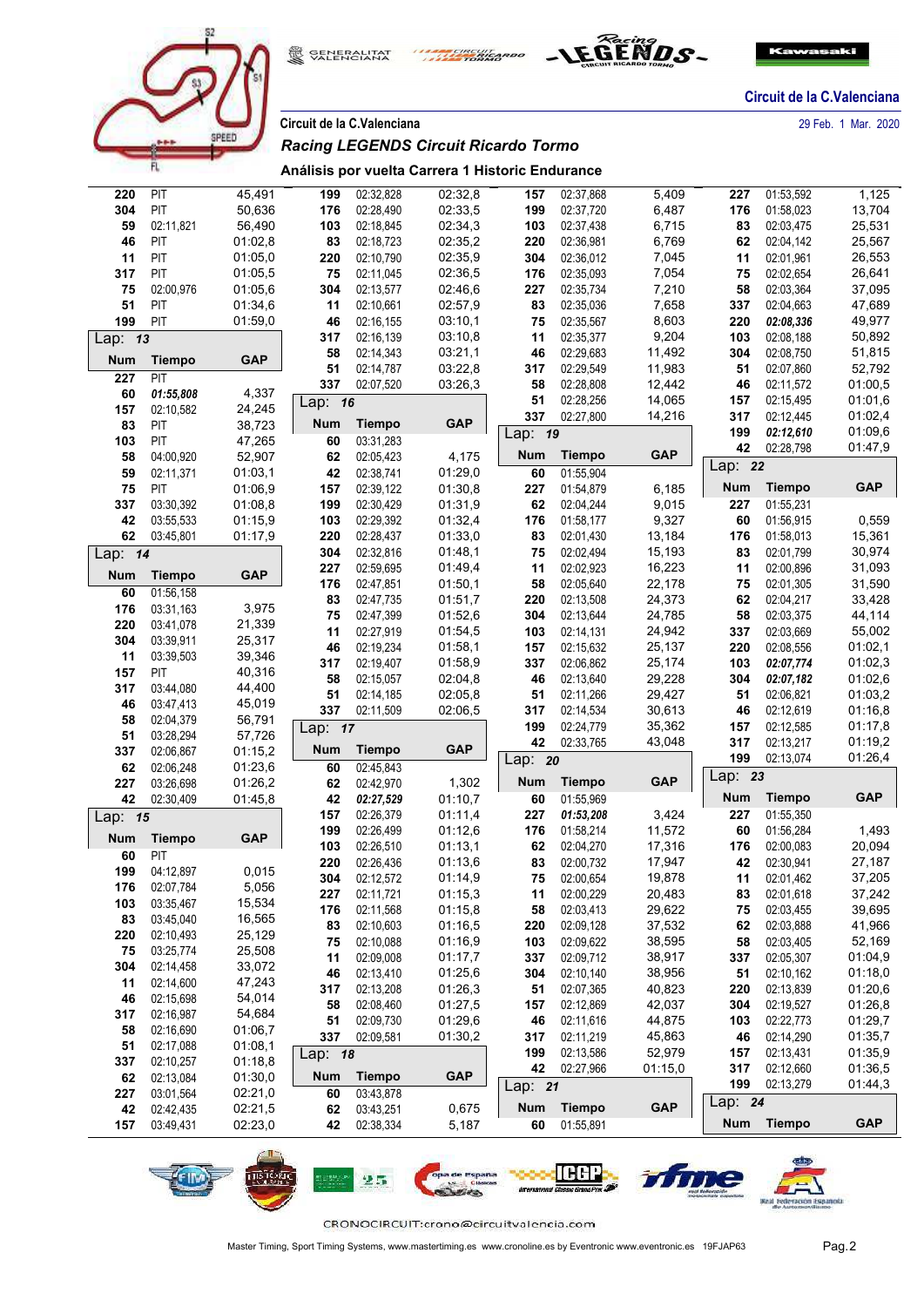





|            |                        |                    | Circuit de la C.Valenciana |                        |                                                  |            |                        |                  |            |                        | 29 Feb. 1 Mar. 2020 |
|------------|------------------------|--------------------|----------------------------|------------------------|--------------------------------------------------|------------|------------------------|------------------|------------|------------------------|---------------------|
|            |                        | SPEED              |                            |                        | <b>Racing LEGENDS Circuit Ricardo Tormo</b>      |            |                        |                  |            |                        |                     |
|            | FL.                    |                    |                            |                        | Análisis por vuelta Carrera 1 Historic Endurance |            |                        |                  |            |                        |                     |
| 220        | PIT                    | 45,491             | 199                        | 02:32,828              | 02:32,8                                          | 157        | 02:37,868              | 5,409            | 227        | 01:53,592              | 1,125               |
| 304        | PIT                    | 50,636             | 176                        | 02:28,490              | 02:33,5                                          | 199        | 02:37,720              | 6,487            | 176        | 01:58,023              | 13,704              |
| 59         | 02:11,821              | 56,490             | 103                        | 02:18,845              | 02:34,3                                          | 103        | 02:37,438              | 6,715            | 83         | 02:03,475              | 25,531              |
| 46         | PIT                    | 01:02,8            | 83                         | 02:18,723              | 02:35,2                                          | 220        | 02:36,981              | 6,769            | 62         | 02:04,142              | 25,567              |
| 11         | PIT                    | 01:05,0            | 220                        | 02:10,790              | 02:35,9                                          | 304        | 02:36,012              | 7,045            | 11         | 02:01,961              | 26,553              |
| 317        | PIT                    | 01:05,5            | 75                         | 02:11,045              | 02:36,5                                          | 176        | 02:35,093              | 7,054            | 75         | 02:02,654              | 26,641              |
| 75         | 02:00,976              | 01:05,6            | 304                        | 02:13,577              | 02:46,6                                          | 227        | 02:35,734              | 7,210            | 58         | 02:03,364              | 37,095              |
| 51         | PIT                    | 01:34.6            | 11                         | 02:10,661              | 02:57,9                                          | 83         | 02:35,036              | 7,658            | 337        | 02:04,663              | 47,689              |
| 199        | PIT                    | 01:59,0            | 46                         | 02:16,155              | 03:10,1                                          | 75         | 02:35,567              | 8,603            | 220        | 02:08,336              | 49,977              |
| Lap: 13    |                        |                    | 317<br>58                  | 02:16,139<br>02:14,343 | 03:10.8<br>03:21,1                               | 11<br>46   | 02:35,377<br>02:29,683 | 9,204<br>11,492  | 103<br>304 | 02:08,188<br>02:08,750 | 50,892<br>51,815    |
| <b>Num</b> | <b>Tiempo</b>          | <b>GAP</b>         | 51                         | 02:14,787              | 03:22,8                                          | 317        | 02:29,549              | 11,983           | 51         | 02:07.860              | 52,792              |
| 227        | PIT                    |                    | 337                        | 02:07,520              | 03:26,3                                          | 58         | 02:28,808              | 12,442           | 46         | 02:11.572              | 01:00,5             |
| 60         | 01:55,808              | 4,337              | Lap: 16                    |                        |                                                  | 51         | 02:28,256              | 14,065           | 157        | 02:15,495              | 01:01,6             |
| 157        | 02:10,582              | 24,245             |                            |                        |                                                  | 337        | 02:27,800              | 14,216           | 317        | 02:12,445              | 01:02,4             |
| 83         | PIT                    | 38,723             | <b>Num</b>                 | <b>Tiempo</b>          | <b>GAP</b>                                       | Lap: 19    |                        |                  | 199        | 02:12,610              | 01:09,6             |
| 103        | PIT                    | 47,265             | 60                         | 03:31,283              |                                                  |            |                        |                  | 42         | 02:28,798              | 01:47,9             |
| 58         | 04:00,920              | 52,907             | 62                         | 02:05,423              | 4,175                                            | <b>Num</b> | <b>Tiempo</b>          | <b>GAP</b>       | Lap: 22    |                        |                     |
| 59         | 02:11,371              | 01:03,1            | 42                         | 02:38,741              | 01:29,0                                          | 60         | 01:55,904              |                  | <b>Num</b> | Tiempo                 | <b>GAP</b>          |
| 75<br>337  | PIT<br>03:30,392       | 01:06,9<br>01:08,8 | 157<br>199                 | 02:39,122<br>02:30,429 | 01:30,8<br>01:31,9                               | 227<br>62  | 01:54,879<br>02:04,244 | 6,185<br>9,015   | 227        | 01:55,231              |                     |
| 42         | 03:55,533              | 01:15,9            | 103                        | 02:29,392              | 01:32,4                                          | 176        | 01:58.177              | 9,327            | 60         | 01:56,915              | 0,559               |
| 62         | 03:45,801              | 01:17,9            | 220                        | 02:28,437              | 01:33,0                                          | 83         | 02:01,430              | 13,184           | 176        | 01:58,013              | 15,361              |
| Lap: $14$  |                        |                    | 304                        | 02:32,816              | 01:48,1                                          | 75         | 02:02,494              | 15,193           | 83         | 02:01.799              | 30,974              |
|            |                        |                    | 227                        | 02:59,695              | 01:49,4                                          | 11         | 02:02,923              | 16,223           | 11         | 02:00,896              | 31,093              |
| Num        | <b>Tiempo</b>          | <b>GAP</b>         | 176                        | 02:47,851              | 01:50,1                                          | 58         | 02:05,640              | 22,178           | 75         | 02:01,305              | 31,590              |
| 60         | 01:56,158              |                    | 83                         | 02:47,735              | 01:51,7                                          | 220        | 02:13,508              | 24,373           | 62         | 02:04,217              | 33,428              |
| 176        | 03:31,163              | 3,975              | 75                         | 02:47,399              | 01:52,6                                          | 304        | 02:13,644              | 24,785           | 58         | 02:03,375              | 44,114              |
| 220<br>304 | 03:41,078<br>03:39,911 | 21,339<br>25,317   | 11                         | 02:27,919              | 01:54,5                                          | 103        | 02:14,131              | 24,942           | 337        | 02:03,669              | 55,002              |
| 11         | 03:39,503              | 39,346             | 46                         | 02:19,234              | 01:58,1                                          | 157        | 02:15,632              | 25,137           | 220        | 02:08,556              | 01:02,1             |
| 157        | PIT                    | 40,316             | 317                        | 02:19,407              | 01:58,9                                          | 337        | 02:06,862              | 25,174           | 103        | 02:07,774              | 01:02,3             |
| 317        | 03:44,080              | 44,400             | 58                         | 02:15,057              | 02:04,8                                          | 46         | 02:13,640              | 29,228           | 304        | 02:07,182              | 01:02,6             |
| 46         | 03:47,413              | 45,019             | 51                         | 02:14,185              | 02:05,8                                          | 51         | 02:11,266              | 29,427           | 51         | 02:06,821              | 01:03,2             |
| 58         | 02:04,379              | 56,791             | 337                        | 02:11,509              | 02:06,5                                          | 317        | 02:14,534              | 30,613           | 46         | 02:12,619              | 01:16,8             |
| 51         | 03:28,294              | 57,726             | Lap: 17                    |                        |                                                  | 199<br>42  | 02:24,779<br>02:33,765 | 35,362<br>43,048 | 157<br>317 | 02:12,585<br>02:13,217 | 01:17,8<br>01:19,2  |
| 337        | 02:06,867              | 01:15,2            | <b>Num</b>                 | <b>Tiempo</b>          | <b>GAP</b>                                       |            |                        |                  | 199        | 02:13,074              | 01:26,4             |
| 62         | 02:06,248              | 01:23,6            | 60                         | 02:45.843              |                                                  | Lap: 20    |                        |                  | Lap: 23    |                        |                     |
| 227        | 03:26,698              | 01:26,2            | 62                         | 02:42,970              | 1,302                                            | <b>Num</b> | <b>Tiempo</b>          | <b>GAP</b>       |            |                        |                     |
| 42         | 02:30,409              | 01:45,8            | 42                         | 02:27,529              | 01:10,7                                          | 60         | 01:55,969              |                  | Num        | Tiempo                 | <b>GAP</b>          |
| Lap: 15    |                        |                    | 157                        | 02:26,379              | 01:11,4                                          | 227        | 01:53,208              | 3,424            | 227        | 01:55,350              |                     |
| <b>Num</b> | <b>Tiempo</b>          | <b>GAP</b>         | 199                        | 02:26,499              | 01:12,6                                          | 176        | 01:58,214              | 11,572           | 60         | 01:56,284              | 1,493               |
| 60         | PIT                    |                    | 103<br>220                 | 02:26,510<br>02:26,436 | 01:13,1<br>01:13,6                               | 62<br>83   | 02:04,270<br>02:00,732 | 17,316<br>17,947 | 176<br>42  | 02:00,083<br>02:30,941 | 20,094<br>27,187    |
| 199        | 04:12,897              | 0,015              | 304                        | 02:12,572              | 01:14,9                                          | 75         | 02:00,654              | 19,878           | 11         | 02:01,462              | 37,205              |
| 176        | 02:07,784              | 5,056              | 227                        | 02:11,721              | 01:15,3                                          | 11         | 02:00,229              | 20,483           | 83         | 02:01,618              | 37,242              |
| 103        | 03:35,467              | 15,534             | 176                        | 02:11,568              | 01:15,8                                          | 58         | 02:03,413              | 29,622           | 75         | 02:03,455              | 39,695              |
| 83         | 03:45,040              | 16,565             | 83                         | 02:10,603              | 01:16.5                                          | 220        | 02:09,128              | 37,532           | 62         | 02:03,888              | 41,966              |
| 220        | 02:10,493              | 25,129             | 75                         | 02:10,088              | 01:16,9                                          | 103        | 02:09,622              | 38,595           | 58         | 02:03,405              | 52,169              |
| 75         | 03:25,774              | 25,508             | 11                         | 02:09,008              | 01:17.7                                          | 337        | 02:09,712              | 38,917           | 337        | 02:05,307              | 01:04,9             |
| 304        | 02:14,458              | 33,072             | 46                         | 02:13,410              | 01:25,6                                          | 304        | 02:10,140              | 38,956           | 51         | 02:10,162              | 01:18,0             |
| 11         | 02:14,600              | 47,243             | 317                        | 02:13,208              | 01:26,3                                          | 51         | 02:07,365              | 40,823           | 220        | 02:13,839              | 01:20,6             |
| 46<br>317  | 02:15,698<br>02:16,987 | 54,014<br>54,684   | 58                         | 02:08,460              | 01:27,5                                          | 157        | 02:12,869              | 42,037           | 304        | 02:19,527              | 01:26,8             |
| 58         | 02:16,690              | 01:06,7            | 51                         | 02:09,730              | 01:29,6                                          | 46         | 02:11,616              | 44,875           | 103        | 02:22,773              | 01:29,7             |
| 51         | 02:17,088              | 01:08,1            | 337                        | 02:09,581              | 01:30,2                                          | 317        | 02:11,219              | 45,863           | 46         | 02:14,290              | 01:35,7             |
| 337        | 02:10,257              | 01:18,8            | Lap: 18                    |                        | 199                                              | 02:13,586  | 52,979                 | 157              | 02:13,431  | 01:35,9                |                     |
| 62         | 02:13,084              | 01:30,0            | <b>Num</b>                 | <b>Tiempo</b>          | <b>GAP</b>                                       | 42         | 02:27,966              | 01:15,0          | 317        | 02:12,660              | 01:36,5             |
| 227        | 03:01,564              | 02:21,0            | 60                         | 03:43,878              |                                                  | Lap: 21    |                        |                  | 199        | 02:13,279              | 01:44,3             |
| 42         | 02:42,435              | 02:21,5            | 62                         | 03:43,251              | 0,675                                            | <b>Num</b> | <b>Tiempo</b>          | <b>GAP</b>       | Lap: 24    |                        |                     |
| 157        | 03:49,431              | 02:23,0            | 42                         | 02:38,334              | 5,187                                            | 60         | 01:55,891              |                  | Num        | <b>Tiempo</b>          | <b>GAP</b>          |
|            |                        |                    |                            |                        |                                                  |            |                        |                  |            |                        |                     |

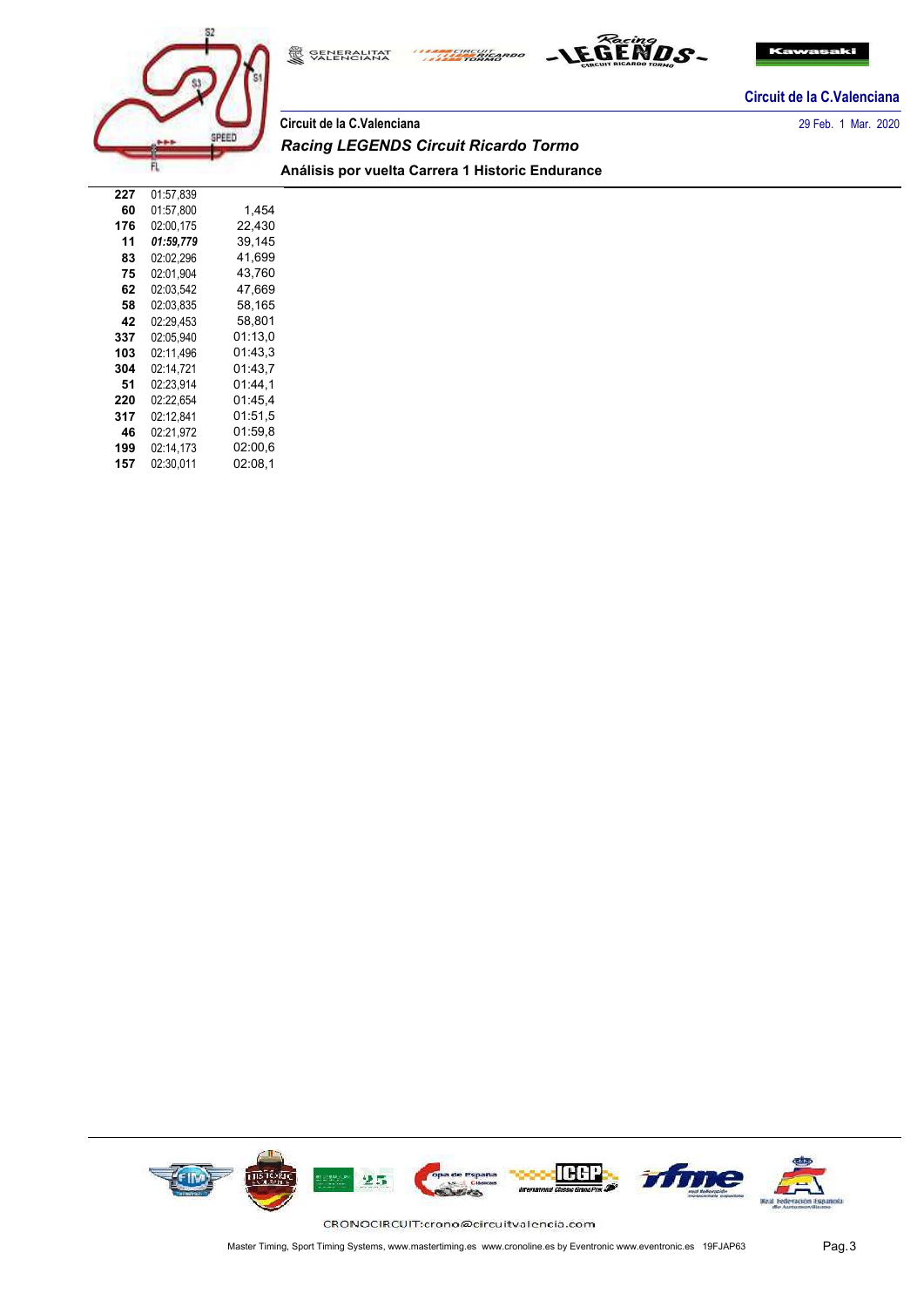



# **Circuit de la C.Valenciana** 29 Feb. 1 Mar. 2020 *Racing LEGENDS Circuit Ricardo Tormo* **Análisis por vuelta Carrera 1 Historic Endurance**

**ANAL CIRCUIT** 

SENERALITAT

| 227 | 01:57.839 |         |
|-----|-----------|---------|
| 60  | 01:57.800 | 1,454   |
| 176 | 02:00,175 | 22.430  |
| 11  | 01:59.779 | 39,145  |
| 83  | 02:02.296 | 41.699  |
| 75  | 02:01.904 | 43.760  |
| 62  | 02:03.542 | 47.669  |
| 58  | 02:03.835 | 58,165  |
| 42  | 02:29.453 | 58,801  |
| 337 | 02:05.940 | 01:13.0 |
| 103 | 02:11.496 | 01:43.3 |
| 304 | 02:14.721 | 01:43.7 |
| 51  | 02:23.914 | 01:44.1 |
| 220 | 02:22.654 | 01:45.4 |
| 317 | 02:12,841 | 01:51.5 |
| 46  | 02:21.972 | 01:59.8 |
| 199 | 02:14.173 | 02:00.6 |
| 157 | 02:30.011 | 02:08.1 |